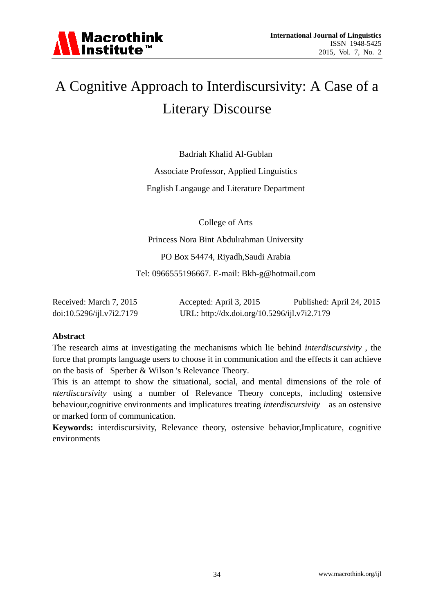

### A Cognitive Approach to Interdiscursivity: A Case of a Literary Discourse

Badriah Khalid Al-Gublan

Associate Professor, Applied Linguistics

English Langauge and Literature Department

College of Arts

Princess Nora Bint Abdulrahman University

PO Box 54474, Riyadh,Saudi Arabia

Tel: 0966555196667. E-mail: Bkh-g@hotmail.com

| Received: March 7, 2015   | Accepted: April 3, 2015                      | Published: April 24, 2015 |
|---------------------------|----------------------------------------------|---------------------------|
| doi:10.5296/ijl.v7i2.7179 | URL: http://dx.doi.org/10.5296/ijl.v7i2.7179 |                           |

#### **Abstract**

The research aims at investigating the mechanisms which lie behind *interdiscursivity* , the force that prompts language users to choose it in communication and the effects it can achieve on the basis of Sperber & Wilson 's Relevance Theory.

This is an attempt to show the situational, social, and mental dimensions of the role of *nterdiscursivity* using a number of Relevance Theory concepts, including ostensive behaviour,cognitive environments and implicatures treating *interdiscursivity* as an ostensive or marked form of communication.

**Keywords:** interdiscursivity, Relevance theory, ostensive behavior,Implicature, cognitive environments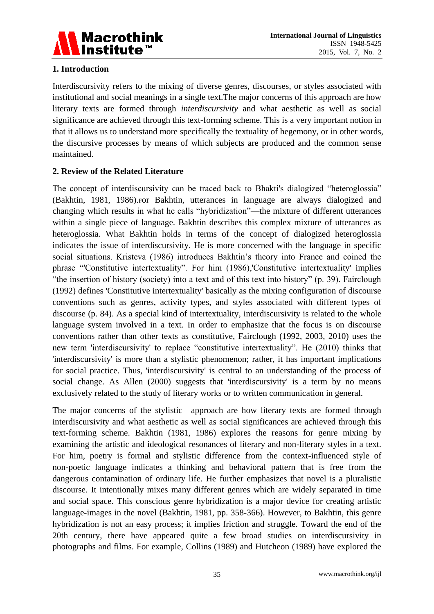

#### **1. Introduction**

Interdiscursivity refers to the mixing of diverse genres, discourses, or styles associated with institutional and social meanings in a single text.The major concerns of this approach are how literary texts are formed through *interdiscursivity* and what aesthetic as well as social significance are achieved through this text-forming scheme. This is a very important notion in that it allows us to understand more specifically the textuality of hegemony, or in other words, the discursive processes by means of which subjects are produced and the common sense maintained.

#### **2. Review of the Related Literature**

The concept of interdiscursivity can be traced back to Bhakti's dialogized "heteroglossia" (Bakhtin, 1981, 1986).For Bakhtin, utterances in language are always dialogized and changing which results in what he calls "hybridization"—the mixture of different utterances within a single piece of language. Bakhtin describes this complex mixture of utterances as heteroglossia. What Bakhtin holds in terms of the concept of dialogized heteroglossia indicates the issue of interdiscursivity. He is more concerned with the language in specific social situations. Kristeva (1986) introduces Bakhtin's theory into France and coined the phrase "'Constitutive intertextuality". For him (1986),'Constitutive intertextuality' implies "the insertion of history (society) into a text and of this text into history" (p. 39). Fairclough (1992) defines 'Constitutive intertextuality' basically as the mixing configuration of discourse conventions such as genres, activity types, and styles associated with different types of discourse (p. 84). As a special kind of intertextuality, interdiscursivity is related to the whole language system involved in a text. In order to emphasize that the focus is on discourse conventions rather than other texts as constitutive, Fairclough (1992, 2003, 2010) uses the new term 'interdiscursivity' to replace "constitutive intertextuality". He (2010) thinks that 'interdiscursivity' is more than a stylistic phenomenon; rather, it has important implications for social practice. Thus, 'interdiscursivity' is central to an understanding of the process of social change. As Allen (2000) suggests that 'interdiscursivity' is a term by no means exclusively related to the study of literary works or to written communication in general.

The major concerns of the stylistic approach are how literary texts are formed through interdiscursivity and what aesthetic as well as social significances are achieved through this text-forming scheme. Bakhtin (1981, 1986) explores the reasons for genre mixing by examining the artistic and ideological resonances of literary and non-literary styles in a text. For him, poetry is formal and stylistic difference from the context-influenced style of non-poetic language indicates a thinking and behavioral pattern that is free from the dangerous contamination of ordinary life. He further emphasizes that novel is a pluralistic discourse. It intentionally mixes many different genres which are widely separated in time and social space. This conscious genre hybridization is a major device for creating artistic language-images in the novel (Bakhtin, 1981, pp. 358-366). However, to Bakhtin, this genre hybridization is not an easy process; it implies friction and struggle. Toward the end of the 20th century, there have appeared quite a few broad studies on interdiscursivity in photographs and films. For example, Collins (1989) and Hutcheon (1989) have explored the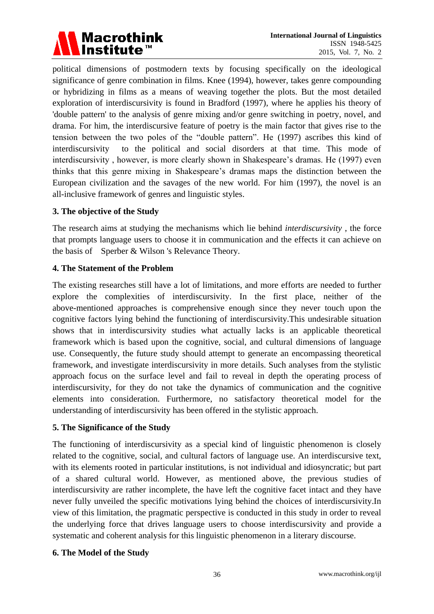

political dimensions of postmodern texts by focusing specifically on the ideological significance of genre combination in films. Knee (1994), however, takes genre compounding or hybridizing in films as a means of weaving together the plots. But the most detailed exploration of interdiscursivity is found in Bradford (1997), where he applies his theory of 'double pattern' to the analysis of genre mixing and/or genre switching in poetry, novel, and drama. For him, the interdiscursive feature of poetry is the main factor that gives rise to the tension between the two poles of the "double pattern". He (1997) ascribes this kind of interdiscursivity to the political and social disorders at that time. This mode of interdiscursivity , however, is more clearly shown in Shakespeare's dramas. He (1997) even thinks that this genre mixing in Shakespeare's dramas maps the distinction between the European civilization and the savages of the new world. For him (1997), the novel is an all-inclusive framework of genres and linguistic styles.

#### **3. The objective of the Study**

The research aims at studying the mechanisms which lie behind *interdiscursivity* , the force that prompts language users to choose it in communication and the effects it can achieve on the basis of Sperber & Wilson 's Relevance Theory.

#### **4. The Statement of the Problem**

The existing researches still have a lot of limitations, and more efforts are needed to further explore the complexities of interdiscursivity. In the first place, neither of the above-mentioned approaches is comprehensive enough since they never touch upon the cognitive factors lying behind the functioning of interdiscursivity.This undesirable situation shows that in interdiscursivity studies what actually lacks is an applicable theoretical framework which is based upon the cognitive, social, and cultural dimensions of language use. Consequently, the future study should attempt to generate an encompassing theoretical framework, and investigate interdiscursivity in more details. Such analyses from the stylistic approach focus on the surface level and fail to reveal in depth the operating process of interdiscursivity, for they do not take the dynamics of communication and the cognitive elements into consideration. Furthermore, no satisfactory theoretical model for the understanding of interdiscursivity has been offered in the stylistic approach.

#### **5. The Significance of the Study**

The functioning of interdiscursivity as a special kind of linguistic phenomenon is closely related to the cognitive, social, and cultural factors of language use. An interdiscursive text, with its elements rooted in particular institutions, is not individual and idiosyncratic; but part of a shared cultural world. However, as mentioned above, the previous studies of interdiscursivity are rather incomplete, the have left the cognitive facet intact and they have never fully unveiled the specific motivations lying behind the choices of interdiscursivity.In view of this limitation, the pragmatic perspective is conducted in this study in order to reveal the underlying force that drives language users to choose interdiscursivity and provide a systematic and coherent analysis for this linguistic phenomenon in a literary discourse.

#### **6. The Model of the Study**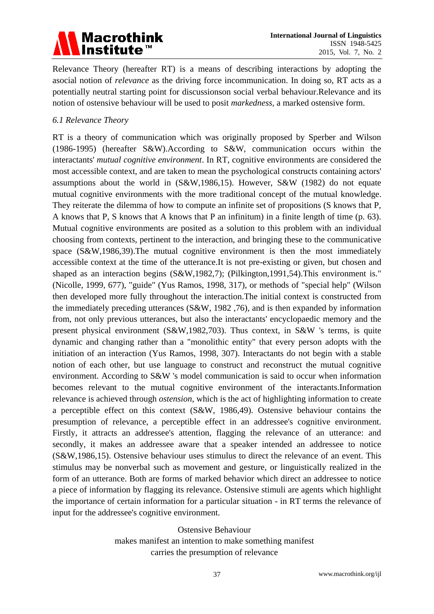## Macrothink<br>Institute™

Relevance Theory (hereafter RT) is a means of describing interactions by adopting the asocial notion of *relevance* as the driving force incommunication. In doing so, RT acts as a potentially neutral starting point for discussionson social verbal behaviour.Relevance and its notion of ostensive behaviour will be used to posit *markedness,* a marked ostensive form.

#### *6.1 Relevance Theory*

RT is a theory of communication which was originally proposed by Sperber and Wilson (1986-1995) (hereafter S&W).According to S&W, communication occurs within the interactants' *mutual cognitive environment*. In RT, cognitive environments are considered the most accessible context, and are taken to mean the psychological constructs containing actors' assumptions about the world in (S&W,1986,15). However, S&W (1982) do not equate mutual cognitive environments with the more traditional concept of the mutual knowledge. They reiterate the dilemma of how to compute an infinite set of propositions (S knows that P, A knows that P, S knows that A knows that P an infinitum) in a finite length of time (p. 63). Mutual cognitive environments are posited as a solution to this problem with an individual choosing from contexts, pertinent to the interaction, and bringing these to the communicative space (S&W,1986,39).The mutual cognitive environment is then the most immediately accessible context at the time of the utterance.It is not pre-existing or given, but chosen and shaped as an interaction begins (S&W,1982,7); (Pilkington,1991,54).This environment is." (Nicolle, 1999, 677), "guide" (Yus Ramos, 1998, 317), or methods of "special help" (Wilson then developed more fully throughout the interaction.The initial context is constructed from the immediately preceding utterances (S&W, 1982 ,76), and is then expanded by information from, not only previous utterances, but also the interactants' encyclopaedic memory and the present physical environment (S&W,1982,703). Thus context, in S&W 's terms, is quite dynamic and changing rather than a "monolithic entity" that every person adopts with the initiation of an interaction (Yus Ramos, 1998, 307). Interactants do not begin with a stable notion of each other, but use language to construct and reconstruct the mutual cognitive environment. According to S&W 's model communication is said to occur when information becomes relevant to the mutual cognitive environment of the interactants.Information relevance is achieved through *ostension*, which is the act of highlighting information to create a perceptible effect on this context (S&W, 1986,49). Ostensive behaviour contains the presumption of relevance, a perceptible effect in an addressee's cognitive environment. Firstly, it attracts an addressee's attention, flagging the relevance of an utterance: and secondly, it makes an addressee aware that a speaker intended an addressee to notice (S&W,1986,15). Ostensive behaviour uses stimulus to direct the relevance of an event. This stimulus may be nonverbal such as movement and gesture, or linguistically realized in the form of an utterance. Both are forms of marked behavior which direct an addressee to notice a piece of information by flagging its relevance. Ostensive stimuli are agents which highlight the importance of certain information for a particular situation - in RT terms the relevance of input for the addressee's cognitive environment.

#### Ostensive Behaviour

makes manifest an intention to make something manifest carries the presumption of relevance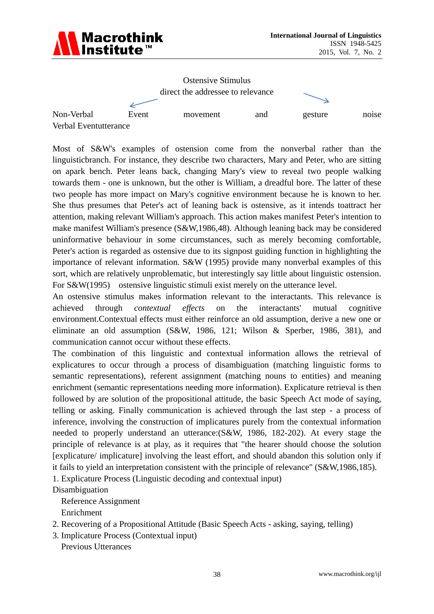



Most of S&W's examples of ostension come from the nonverbal rather than the linguisticbranch. For instance, they describe two characters, Mary and Peter, who are sitting on apark bench. Peter leans back, changing Mary's view to reveal two people walking towards them - one is unknown, but the other is William, a dreadful bore. The latter of these two people has more impact on Mary's cognitive environment because he is known to her. She thus presumes that Peter's act of leaning back is ostensive, as it intends toattract her attention, making relevant William's approach. This action makes manifest Peter's intention to make manifest William's presence (S&W,1986,48). Although leaning back may be considered uninformative behaviour in some circumstances, such as merely becoming comfortable, Peter's action is regarded as ostensive due to its signpost guiding function in highlighting the importance of relevant information. S&W (1995) provide many nonverbal examples of this sort, which are relatively unproblematic, but interestingly say little about linguistic ostension. For S&W(1995) ostensive linguistic stimuli exist merely on the utterance level.

An ostensive stimulus makes information relevant to the interactants. This relevance is achieved through *contextual effects* on the interactants' mutual cognitive environment.Contextual effects must either reinforce an old assumption, derive a new one or eliminate an old assumption (S&W, 1986, 121; Wilson & Sperber, 1986, 381), and communication cannot occur without these effects.

The combination of this linguistic and contextual information allows the retrieval of explicatures to occur through a process of disambiguation (matching linguistic forms to semantic representations), referent assignment (matching nouns to entities) and meaning enrichment (semantic representations needing more information). Explicature retrieval is then followed by are solution of the propositional attitude, the basic Speech Act mode of saying, telling or asking. Finally communication is achieved through the last step - a process of inference, involving the construction of implicatures purely from the contextual information needed to properly understand an utterance:(S&W, 1986, 182-202). At every stage the principle of relevance is at play, as it requires that "the hearer should choose the solution [explicature/ implicature] involving the least effort, and should abandon this solution only if it fails to yield an interpretation consistent with the principle of relevance" (S&W,1986,185).

1. Explicature Process (Linguistic decoding and contextual input)

Disambiguation

Reference Assignment

Enrichment

- 2. Recovering of a Propositional Attitude (Basic Speech Acts asking, saying, telling)
- 3. Implicature Process (Contextual input) Previous Utterances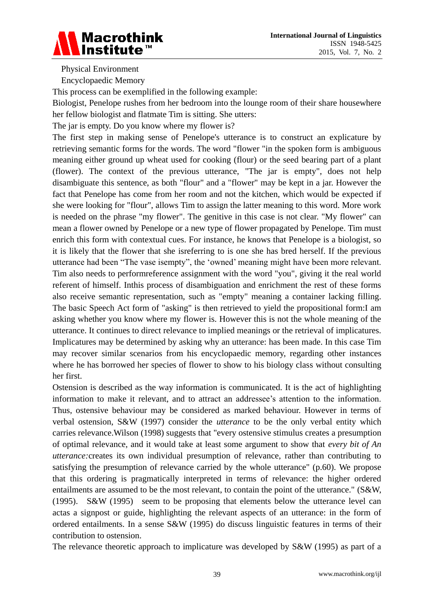

Physical Environment

Encyclopaedic Memory

This process can be exemplified in the following example:

Biologist, Penelope rushes from her bedroom into the lounge room of their share housewhere her fellow biologist and flatmate Tim is sitting. She utters:

The jar is empty. Do you know where my flower is?

The first step in making sense of Penelope's utterance is to construct an explicature by retrieving semantic forms for the words. The word "flower "in the spoken form is ambiguous meaning either ground up wheat used for cooking (flour) or the seed bearing part of a plant (flower). The context of the previous utterance, "The jar is empty", does not help disambiguate this sentence, as both "flour" and a "flower" may be kept in a jar. However the fact that Penelope has come from her room and not the kitchen, which would be expected if she were looking for "flour", allows Tim to assign the latter meaning to this word. More work is needed on the phrase "my flower". The genitive in this case is not clear. "My flower" can mean a flower owned by Penelope or a new type of flower propagated by Penelope. Tim must enrich this form with contextual cues. For instance, he knows that Penelope is a biologist, so it is likely that the flower that she isreferring to is one she has bred herself. If the previous utterance had been "The vase isempty", the 'owned' meaning might have been more relevant. Tim also needs to performreference assignment with the word "you", giving it the real world referent of himself. Inthis process of disambiguation and enrichment the rest of these forms also receive semantic representation, such as "empty" meaning a container lacking filling. The basic Speech Act form of "asking" is then retrieved to yield the propositional form:I am asking whether you know where my flower is. However this is not the whole meaning of the utterance. It continues to direct relevance to implied meanings or the retrieval of implicatures. Implicatures may be determined by asking why an utterance: has been made. In this case Tim may recover similar scenarios from his encyclopaedic memory, regarding other instances where he has borrowed her species of flower to show to his biology class without consulting her first.

Ostension is described as the way information is communicated. It is the act of highlighting information to make it relevant, and to attract an addressee's attention to the information. Thus, ostensive behaviour may be considered as marked behaviour. However in terms of verbal ostension, S&W (1997) consider the *utterance* to be the only verbal entity which carries relevance.Wilson (1998) suggests that "every ostensive stimulus creates a presumption of optimal relevance, and it would take at least some argument to show that *every bit of An utterance:*creates its own individual presumption of relevance, rather than contributing to satisfying the presumption of relevance carried by the whole utterance" (p.60). We propose that this ordering is pragmatically interpreted in terms of relevance: the higher ordered entailments are assumed to be the most relevant, to contain the point of the utterance." (S&W, (1995). S&W (1995) seem to be proposing that elements below the utterance level can actas a signpost or guide, highlighting the relevant aspects of an utterance: in the form of ordered entailments. In a sense S&W (1995) do discuss linguistic features in terms of their contribution to ostension.

The relevance theoretic approach to implicature was developed by S&W (1995) as part of a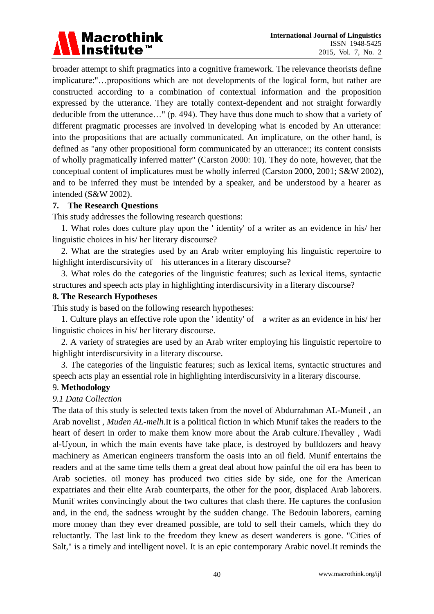# Macrothink<br>|Institute™

broader attempt to shift pragmatics into a cognitive framework. The relevance theorists define implicature:"…propositions which are not developments of the logical form, but rather are constructed according to a combination of contextual information and the proposition expressed by the utterance. They are totally context-dependent and not straight forwardly deducible from the utterance…" (p. 494). They have thus done much to show that a variety of different pragmatic processes are involved in developing what is encoded by An utterance: into the propositions that are actually communicated. An implicature, on the other hand, is defined as "any other propositional form communicated by an utterance:; its content consists of wholly pragmatically inferred matter" (Carston 2000: 10). They do note, however, that the conceptual content of implicatures must be wholly inferred (Carston 2000, 2001; S&W 2002), and to be inferred they must be intended by a speaker, and be understood by a hearer as intended (S&W 2002).

#### **7. The Research Questions**

This study addresses the following research questions:

 1. What roles does culture play upon the ' identity' of a writer as an evidence in his/ her linguistic choices in his/ her literary discourse?

 2. What are the strategies used by an Arab writer employing his linguistic repertoire to highlight interdiscursivity of his utterances in a literary discourse?

 3. What roles do the categories of the linguistic features; such as lexical items, syntactic structures and speech acts play in highlighting interdiscursivity in a literary discourse?

#### **8. The Research Hypotheses**

This study is based on the following research hypotheses:

 1. Culture plays an effective role upon the ' identity' of a writer as an evidence in his/ her linguistic choices in his/ her literary discourse.

 2. A variety of strategies are used by an Arab writer employing his linguistic repertoire to highlight interdiscursivity in a literary discourse.

 3. The categories of the linguistic features; such as lexical items, syntactic structures and speech acts play an essential role in highlighting interdiscursivity in a literary discourse.

#### 9. **Methodology**

#### *9.1 Data Collection*

The data of this study is selected texts taken from the novel of Abdurrahman AL-Muneif , an Arab novelist , *Muden AL-melh*.It is a political fiction in which Munif takes the readers to the heart of desert in order to make them know more about the Arab culture.Thevalley , Wadi al-Uyoun, in which the main events have take place, is destroyed by bulldozers and heavy machinery as American engineers transform the oasis into an oil field. Munif entertains the readers and at the same time tells them a great deal about how painful the oil era has been to Arab societies. oil money has produced two cities side by side, one for the American expatriates and their elite Arab counterparts, the other for the poor, displaced Arab laborers. Munif writes convincingly about the two cultures that clash there. He captures the confusion and, in the end, the sadness wrought by the sudden change. The Bedouin laborers, earning more money than they ever dreamed possible, are told to sell their camels, which they do reluctantly. The last link to the freedom they knew as desert wanderers is gone. "Cities of Salt," is a timely and intelligent novel. It is an epic contemporary Arabic novel.It reminds the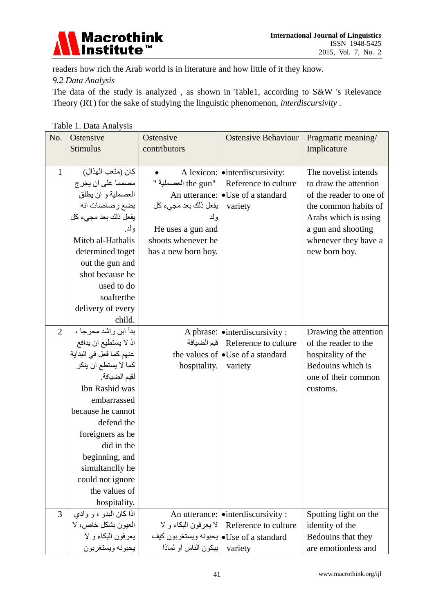

readers how rich the Arab world is in literature and how little of it they know.

### *9.2 Data Analysis*

The data of the study is analyzed , as shown in Table1, according to S&W 's Relevance Theory (RT) for the sake of studying the linguistic phenomenon, *interdiscursivity* .

#### Table 1. Data Analysis

| No.            | Ostensive               | Ostensive                               | <b>Ostensive Behaviour</b>                   | Pragmatic meaning/      |
|----------------|-------------------------|-----------------------------------------|----------------------------------------------|-------------------------|
|                | Stimulus                | contributors                            |                                              | Implicature             |
|                |                         |                                         |                                              |                         |
| $\mathbf{1}$   | كان (متعب الهذال)       |                                         | A lexicon: <b>•</b> interdiscursivity:       | The novelist intends    |
|                | مصمما على ان يخرج       | " the gun العصملية "                    | Reference to culture                         | to draw the attention   |
|                | العصملية و ان يطلق      |                                         | An utterance: Use of a standard              | of the reader to one of |
|                | بضع رصاصات انه          | يفعل ذلك بعد مجيء كل                    | variety                                      | the common habits of    |
|                | يفعل ذلك بعد مجيء كل    | ولد                                     |                                              | Arabs which is using    |
|                | ولد.                    | He uses a gun and                       |                                              | a gun and shooting      |
|                | Miteb al-Hathalis       | shoots whenever he                      |                                              | whenever they have a    |
|                | determined toget        | has a new born boy.                     |                                              | new born boy.           |
|                | out the gun and         |                                         |                                              |                         |
|                | shot because he         |                                         |                                              |                         |
|                | used to do              |                                         |                                              |                         |
|                | soafterthe              |                                         |                                              |                         |
|                | delivery of every       |                                         |                                              |                         |
|                | child.                  |                                         |                                              |                         |
| $\overline{2}$ | بدأ ابن راشد محرجا ،    |                                         | A phrase: • interdiscursivity:               | Drawing the attention   |
|                | اذ لا يستطيع ان يدافع   |                                         | Reference to culture   قيم الضيافة           | of the reader to the    |
|                | عنهم كما فعل في البداية |                                         | the values of $\bullet$ Use of a standard    | hospitality of the      |
|                | كما لا يستطع ان ينكر    | hospitality.                            | variety                                      | Bedouins which is       |
|                | لقيم الضيافة            |                                         |                                              | one of their common     |
|                | Ibn Rashid was          |                                         |                                              | customs.                |
|                | embarrassed             |                                         |                                              |                         |
|                | because he cannot       |                                         |                                              |                         |
|                | defend the              |                                         |                                              |                         |
|                | foreigners as he        |                                         |                                              |                         |
|                | did in the              |                                         |                                              |                         |
|                | beginning, and          |                                         |                                              |                         |
|                | simultanelly he         |                                         |                                              |                         |
|                | could not ignore        |                                         |                                              |                         |
|                | the values of           |                                         |                                              |                         |
|                | hospitality.            |                                         |                                              |                         |
| 3              | اذا كان البدو ، و وادي  |                                         | An utterance: • interdiscursivity:           | Spotting light on the   |
|                | العيون بشكل خاص، لا     |                                         | Reference to culture   لا يعرفون البكاء و لا | identity of the         |
|                | يعرفون البكاء و لا      | Use of a standardو بحبونه ويستغربون كيف |                                              | Bedouins that they      |
|                | يحبونه ويستغربون        | يبكون الناس او لماذا                    | variety                                      | are emotionless and     |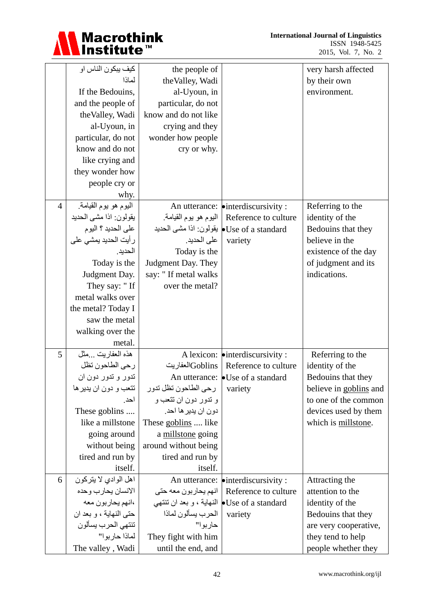**International Journal of Linguistics** ISSN 1948-5425 2015, Vol. 7, No. 2



|                | كيف يبكون الناس او     | the people of                               |                                              | very harsh affected    |
|----------------|------------------------|---------------------------------------------|----------------------------------------------|------------------------|
|                | لماذا                  | the Valley, Wadi                            |                                              | by their own           |
|                | If the Bedouins,       | al-Uyoun, in                                |                                              | environment.           |
|                | and the people of      | particular, do not                          |                                              |                        |
|                | the Valley, Wadi       | know and do not like                        |                                              |                        |
|                | al-Uyoun, in           | crying and they                             |                                              |                        |
|                | particular, do not     | wonder how people                           |                                              |                        |
|                | know and do not        | cry or why.                                 |                                              |                        |
|                | like crying and        |                                             |                                              |                        |
|                | they wonder how        |                                             |                                              |                        |
|                | people cry or          |                                             |                                              |                        |
|                | why.                   |                                             |                                              |                        |
| $\overline{4}$ | اليوم هو يوم القيامة.  |                                             | An utterance: <i>i</i> nterdiscursivity:     | Referring to the       |
|                | يقولون: اذا مشي الحديد |                                             | Reference to culture   اليوم هو يوم القيامة. | identity of the        |
|                | على الحديد ؟ اليوم     | Use of a standardو يقولون: اذا مشى الحديد   |                                              | Bedouins that they     |
|                | رأيت الحديد يمشي على   | على الحديد ِ                                | variety                                      | believe in the         |
|                | الحديدر                | Today is the                                |                                              | existence of the day   |
|                | Today is the           | Judgment Day. They                          |                                              | of judgment and its    |
|                | Judgment Day.          | say: " If metal walks                       |                                              | indications.           |
|                | They say: "If          | over the metal?                             |                                              |                        |
|                | metal walks over       |                                             |                                              |                        |
|                | the metal? Today I     |                                             |                                              |                        |
|                | saw the metal          |                                             |                                              |                        |
|                | walking over the       |                                             |                                              |                        |
|                | metal.                 |                                             |                                              |                        |
| 5              | هذه العفاريت مثل       |                                             | A lexicon: <i>i</i> interdiscursivity :      | Referring to the       |
|                | رحي الطاحون تظل        | العفاريت)Goblins                            | Reference to culture                         | identity of the        |
|                | تدور و تدور دون ان     |                                             | An utterance: Use of a standard              | Bedouins that they     |
|                | تتعب و دون ان يدير ها  | variety   رحى الطاحون تظل تدور              |                                              | believe in goblins and |
|                | احد.                   | و تدور دون ان تتعب و                        |                                              | to one of the common   |
|                | These goblins          | دون ان يدير ها احد.                         |                                              | devices used by them   |
|                | like a millstone       | These goblins  like                         |                                              | which is millstone.    |
|                | going around           | a millstone going                           |                                              |                        |
|                | without being          | around without being                        |                                              |                        |
|                | tired and run by       | tired and run by                            |                                              |                        |
|                | itself.                | itself.                                     |                                              |                        |
| 6              | اهل الوادي لا يتركون   |                                             | An utterance: • interdiscursivity :          | Attracting the         |
|                | الانسان يحارب وحده     | انهم يحاربون معه حتى                        | Reference to culture                         | attention to the       |
|                | ،انهم يحاربون معه      | Use of a standardو النهاية ، و بعد ان تنتهي |                                              | identity of the        |
|                | حتي النهاية ، و بعد ان | الحرب يسألون لماذا                          | variety                                      | Bedouins that they     |
|                | تنتهي الحرب يسألون     | حاربو ا"                                    |                                              | are very cooperative,  |
|                | لماذا حاربو ا"         | They fight with him                         |                                              | they tend to help      |
|                | The valley, Wadi       | until the end, and                          |                                              | people whether they    |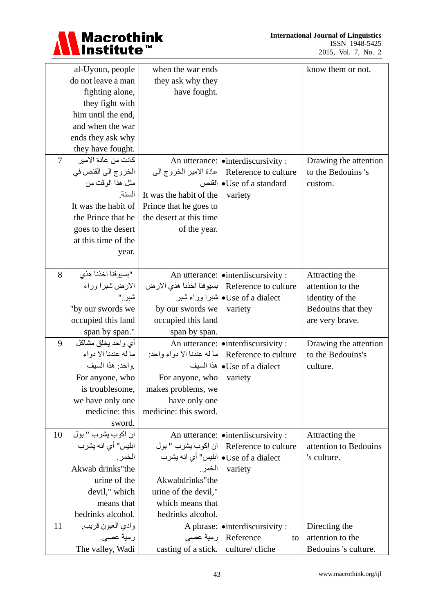

|                | al-Uyoun, people     | when the war ends                    |                                                   | know them or not.     |
|----------------|----------------------|--------------------------------------|---------------------------------------------------|-----------------------|
|                | do not leave a man   | they ask why they                    |                                                   |                       |
|                | fighting alone,      | have fought.                         |                                                   |                       |
|                | they fight with      |                                      |                                                   |                       |
|                | him until the end,   |                                      |                                                   |                       |
|                | and when the war     |                                      |                                                   |                       |
|                | ends they ask why    |                                      |                                                   |                       |
|                | they have fought.    |                                      |                                                   |                       |
| $\overline{7}$ | كانت من عادة الامير  |                                      | An utterance: <b>•</b> interdiscursivity :        | Drawing the attention |
|                | الخروج الى القنص في  |                                      | Reference to culture   عادة الامير الخروج الي     | to the Bedouins 's    |
|                | مثل هذا الوقت من     |                                      | القنص •Use of a standard                          | custom.               |
|                | السنة                | It was the habit of the              | variety                                           |                       |
|                | It was the habit of  | Prince that he goes to               |                                                   |                       |
|                | the Prince that he   | the desert at this time              |                                                   |                       |
|                | goes to the desert   | of the year.                         |                                                   |                       |
|                | at this time of the  |                                      |                                                   |                       |
|                | year.                |                                      |                                                   |                       |
|                |                      |                                      |                                                   |                       |
| 8              | "بسيوفنا اخذنا هذي   |                                      | An utterance: • interdiscursivity :               | Attracting the        |
|                | الارض شبرا وراء      |                                      | Reference to culture   بسيوفنا اخذنا هذي الارض    | attention to the      |
|                | شبر ."               |                                      | Use of a dialect أشبرا وراء شبر                   | identity of the       |
|                | "by our swords we    | by our swords we                     | variety                                           | Bedouins that they    |
|                | occupied this land   | occupied this land                   |                                                   | are very brave.       |
|                | span by span."       | span by span.                        |                                                   |                       |
| 9              | أي واحد يخلق مشاكل   |                                      | An utterance: • interdiscursivity :               | Drawing the attention |
|                | ما له عندنا الا دواء |                                      | Reference to culture   ما له عندنا الا دواء واحد: | to the Bedouins's     |
|                | واحد: هذا السيف      |                                      | Use of a dialect                                  | culture.              |
|                | For anyone, who      | For anyone, who                      | variety                                           |                       |
|                | is troublesome,      | makes problems, we                   |                                                   |                       |
|                | we have only one     | have only one                        |                                                   |                       |
|                | medicine: this       | medicine: this sword.                |                                                   |                       |
|                | sword.               |                                      |                                                   |                       |
| 10             | ان اكوب يشرب " بول   |                                      | An utterance: <i>v</i> interdiscursivity:         | Attracting the        |
|                | ابليس" أي انه يشرب   |                                      | Reference to culture   ان اكوب يشرب " بول         | attention to Bedouins |
|                | الخمر                | Use of a dialect⊌ ابليس" أي انه يشرب |                                                   | 's culture.           |
|                | Akwab drinks"the     | الخمر ِ                              | variety                                           |                       |
|                | urine of the         | Akwabdrinks"the                      |                                                   |                       |
|                | devil," which        | urine of the devil,"                 |                                                   |                       |
|                | means that           | which means that                     |                                                   |                       |
|                | hedrinks alcohol.    | hedrinks alcohol.                    |                                                   |                       |
| 11             | وادي العيون قريب     |                                      | A phrase: • interdiscursivity:                    | Directing the         |
|                | رمية عصىي            | رمية عصىي                            | Reference<br>to                                   | attention to the      |
|                | The valley, Wadi     | casting of a stick.                  | culture/cliche                                    | Bedouins 's culture.  |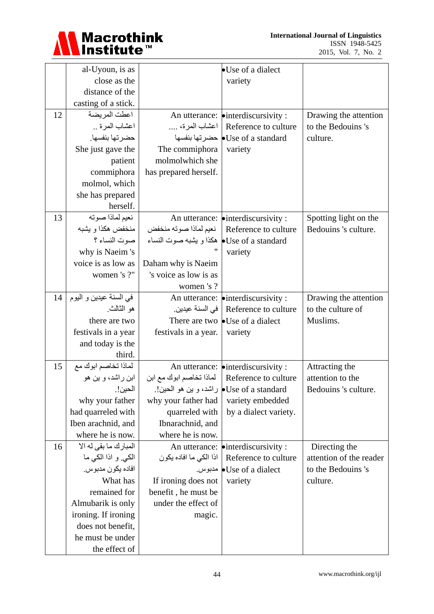

|    | al-Uyoun, is as                       |                                                | •Use of a dialect                         |                         |
|----|---------------------------------------|------------------------------------------------|-------------------------------------------|-------------------------|
|    | close as the                          |                                                | variety                                   |                         |
|    | distance of the                       |                                                |                                           |                         |
|    | casting of a stick.                   |                                                |                                           |                         |
| 12 | اعطت المريضة                          |                                                | An utterance: <i>i</i> nterdiscursivity:  | Drawing the attention   |
|    | اعشاب المرة                           |                                                | Reference to culture   اعشاب المرة،       | to the Bedouins 's      |
|    | حضرتها بنفسها                         |                                                | حضرتها بنفسها Use of a standard           | culture.                |
|    | She just gave the                     | The commiphora                                 | variety                                   |                         |
|    | patient                               | molmolwhich she                                |                                           |                         |
|    | commiphora                            | has prepared herself.                          |                                           |                         |
|    | molmol, which                         |                                                |                                           |                         |
|    | she has prepared                      |                                                |                                           |                         |
|    | herself.                              |                                                |                                           |                         |
| 13 | نعيم لماذا صوته                       |                                                | An utterance: <i>v</i> interdiscursivity: | Spotting light on the   |
|    | منخفض هكذا و يشبه                     | Reference to culture   نعيم لماذا صوته منخفض   |                                           | Bedouins 's culture.    |
|    | صوت النساء ؟                          | Use of a standardو يشبه صوت النساء             |                                           |                         |
|    | why is Naeim 's                       |                                                | variety                                   |                         |
|    | voice is as low as                    | Daham why is Naeim                             |                                           |                         |
|    | women 's ?"                           | 's voice as low is as                          |                                           |                         |
|    |                                       | women 's ?                                     |                                           |                         |
| 14 | في السنة عيدين و اليوم                |                                                | An utterance: • interdiscursivity :       | Drawing the attention   |
|    | هو الثالث                             |                                                | Reference to culture   في السنة عيدين.    | to the culture of       |
|    | there are two                         |                                                | There are two $\bullet$ Use of a dialect  | Muslims.                |
|    | festivals in a year                   | festivals in a year.                           | variety                                   |                         |
|    | and today is the                      |                                                |                                           |                         |
|    | third.                                |                                                |                                           |                         |
| 15 | لماذا تخاصم ابوك مع                   |                                                | An utterance: <i>i</i> nterdiscursivity:  | Attracting the          |
|    | ابن راشد، و بن هو                     | Reference to culture   لماذا تخاصم ابوك مع ابن |                                           | attention to the        |
|    | الحين ! .                             | Use of a standardا راشد، و بن هو الحين!        |                                           | Bedouins 's culture     |
|    | why your father                       | why your father had                            | variety embedded                          |                         |
|    | had quarreled with                    | quarreled with                                 | by a dialect variety.                     |                         |
|    | Iben arachnid, and                    | Ibnarachnid, and                               |                                           |                         |
|    | where he is now.                      | where he is now.                               |                                           |                         |
| 16 | المبارك ما بقى له الا                 |                                                | An utterance: • interdiscursivity:        | Directing the           |
|    | الكي و اذا الكي ما                    | اذا الكي ما افاده يكون                         | Reference to culture                      | attention of the reader |
|    | افاده يكون مدبوس.                     |                                                | Use of a dialect مدبوس.                   | to the Bedouins 's      |
|    | What has                              | If ironing does not                            | variety                                   | culture.                |
|    | remained for                          | benefit, he must be                            |                                           |                         |
|    | Almubarik is only                     | under the effect of                            |                                           |                         |
|    | ironing. If ironing                   | magic.                                         |                                           |                         |
|    | does not benefit,<br>he must be under |                                                |                                           |                         |
|    |                                       |                                                |                                           |                         |
|    | the effect of                         |                                                |                                           |                         |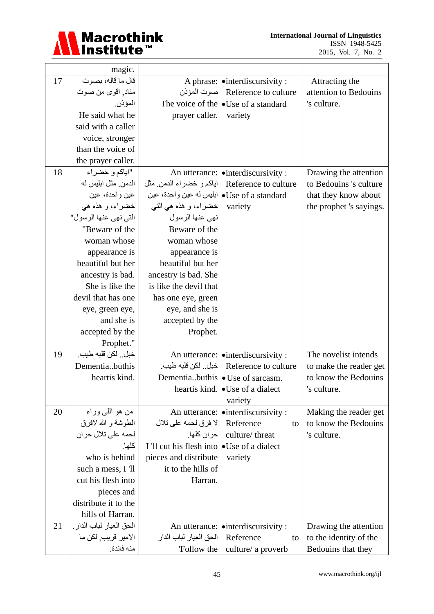

|    | magic.                        |                                                                     |                                              |                         |
|----|-------------------------------|---------------------------------------------------------------------|----------------------------------------------|-------------------------|
| 17 | قال ما قاله، بصوت             |                                                                     | A phrase: • interdiscursivity:               | Attracting the          |
|    | مناد <sub>ر</sub> اقوى من صوت |                                                                     | Reference to culture   صوت المؤذن            | attention to Bedouins   |
|    | المؤذن.                       |                                                                     | The voice of the $\bullet$ Use of a standard | 's culture.             |
|    | He said what he               | prayer caller.                                                      | variety                                      |                         |
|    | said with a caller            |                                                                     |                                              |                         |
|    | voice, stronger               |                                                                     |                                              |                         |
|    | than the voice of             |                                                                     |                                              |                         |
|    | the prayer caller.            |                                                                     |                                              |                         |
| 18 | "اياكم و خضراء                |                                                                     | An utterance: • interdiscursivity:           | Drawing the attention   |
|    |                               | Reference to culture   اياكم و خضراء الدمن مثل   الدمن مثل ابليس له |                                              | to Bedouins 's culture  |
|    |                               | Use of a standardو ابليس له عين واحدة، عين   عين واحدة، عين         |                                              | that they know about    |
|    | خضراء، و هذه هي               | خضراء، و هذه هي التي                                                | variety                                      | the prophet 's sayings. |
|    | التي نهي عنها الرسول"         | نهي عنها الرسول                                                     |                                              |                         |
|    | "Beware of the                | Beware of the                                                       |                                              |                         |
|    | woman whose                   | woman whose                                                         |                                              |                         |
|    | appearance is                 | appearance is                                                       |                                              |                         |
|    | beautiful but her             | beautiful but her                                                   |                                              |                         |
|    | ancestry is bad.              | ancestry is bad. She                                                |                                              |                         |
|    | She is like the               | is like the devil that                                              |                                              |                         |
|    | devil that has one            | has one eye, green                                                  |                                              |                         |
|    | eye, green eye,               | eye, and she is                                                     |                                              |                         |
|    | and she is                    | accepted by the                                                     |                                              |                         |
|    | accepted by the               | Prophet.                                                            |                                              |                         |
|    | Prophet."                     |                                                                     |                                              |                         |
| 19 | خبل . لكن قلبه طيب            |                                                                     | An utterance: • interdiscursivity :          | The novelist intends    |
|    | Dementiabuthis                |                                                                     | Reference to culture   خبل ِ لكن قلبه طيب ِ  | to make the reader get  |
|    | heartis kind.                 | Dementiabuthis $\bullet$ Use of sarcasm.                            |                                              | to know the Bedouins    |
|    |                               |                                                                     | heartis kind. Use of a dialect               | 's culture.             |
|    |                               |                                                                     | variety                                      |                         |
| 20 | من هو اللي وراء               |                                                                     | An utterance: <i>vinterdiscursivity</i> :    | Making the reader get   |
|    | الطوشة و الله لافرق           | لا فر ق لحمه على تلال                                               | Reference<br>to                              | to know the Bedouins    |
|    | لحمه على تلال حران            | حران كلها.                                                          | culture/threat                               | 's culture.             |
|    | كلها.                         | I 'll cut his flesh into $\bullet$ Use of a dialect                 |                                              |                         |
|    | who is behind                 | pieces and distribute                                               | variety                                      |                         |
|    | such a mess, I 'll            | it to the hills of                                                  |                                              |                         |
|    | cut his flesh into            | Harran.                                                             |                                              |                         |
|    | pieces and                    |                                                                     |                                              |                         |
|    | distribute it to the          |                                                                     |                                              |                         |
|    | hills of Harran.              |                                                                     |                                              |                         |
| 21 | الحق العيار لباب الدار .      |                                                                     | An utterance: • interdiscursivity:           | Drawing the attention   |
|    | الامير قريب لكن ما            | الحق العيار لباب الدار                                              | Reference<br>to                              | to the identity of the  |
|    | منه فائدة                     | 'Follow the                                                         | culture/ a proverb                           | Bedouins that they      |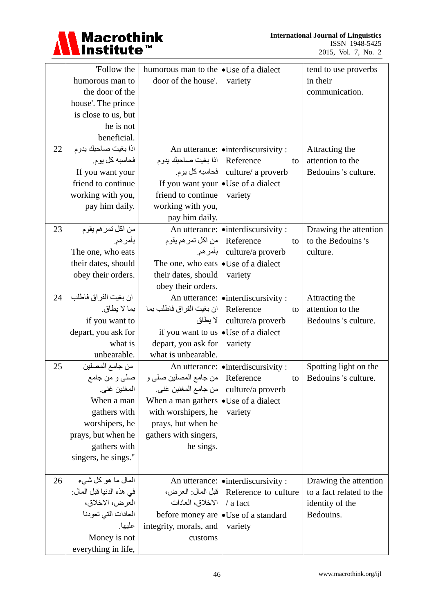

|    | 'Follow the              | humorous man to the $\bullet$ Use of a dialect          |                                           | tend to use proverbs     |
|----|--------------------------|---------------------------------------------------------|-------------------------------------------|--------------------------|
|    | humorous man to          | door of the house'.                                     | variety                                   | in their                 |
|    | the door of the          |                                                         |                                           | communication.           |
|    | house'. The prince       |                                                         |                                           |                          |
|    | is close to us, but      |                                                         |                                           |                          |
|    | he is not                |                                                         |                                           |                          |
|    | beneficial.              |                                                         |                                           |                          |
| 22 | اذا بغيت صاحبك يدوم      |                                                         | An utterance: • interdiscursivity :       | Attracting the           |
|    | فحاسبه كل يوم            | Reference   اذا بغيت صاحبك يدوم                         | to                                        | attention to the         |
|    | If you want your         |                                                         | culture/ a proverb   فحاسبه كل يوم        | Bedouins 's culture.     |
|    | friend to continue       | If you want your $\bullet$ Use of a dialect             |                                           |                          |
|    | working with you,        | friend to continue                                      | variety                                   |                          |
|    | pay him daily.           | working with you,                                       |                                           |                          |
|    |                          | pay him daily.                                          |                                           |                          |
| 23 | من اكل تمر هم يقوم       |                                                         | An utterance: <i>i</i> nterdiscursivity:  | Drawing the attention    |
|    | بأمر هم.                 | Reference   من اكل تمر هم يقوم                          | to                                        | to the Bedouins 's       |
|    | The one, who eats        |                                                         | culture/a proverb   بأمرهم                | culture.                 |
|    | their dates, should      | The one, who eats $\bullet$ Use of a dialect            |                                           |                          |
|    | obey their orders.       | their dates, should                                     | variety                                   |                          |
|    |                          | obey their orders.                                      |                                           |                          |
| 24 | ان بغيت الفر اق فاطلب    |                                                         | An utterance: • interdiscursivity :       | Attracting the           |
|    | بما لا يطاق.             | ان بغيت الفراق فاطلب بما                                | Reference<br>to                           | attention to the         |
|    | if you want to           | لا يطاق                                                 | culture/a proverb                         | Bedouins 's culture.     |
|    | depart, you ask for      | if you want to us Use of a dialect                      |                                           |                          |
|    | what is                  | depart, you ask for                                     | variety                                   |                          |
|    | unbearable.              | what is unbearable.                                     |                                           |                          |
| 25 | من جامع المصلين          |                                                         | An utterance: <i>i</i> nterdiscursivity:  | Spotting light on the    |
|    |                          | Reference   من جامع المصلين صلَّى و     صلَّى و من جامع | to                                        | Bedouins 's culture.     |
|    | المغنين غني.             | culture/a proverb   من جامع المغنين غني.                |                                           |                          |
|    | When a man               | When a man gathers $\bullet$ Use of a dialect           |                                           |                          |
|    | gathers with             | with worshipers, he                                     | variety                                   |                          |
|    | worshipers, he           | prays, but when he                                      |                                           |                          |
|    | prays, but when he       | gathers with singers,                                   |                                           |                          |
|    | gathers with             | he sings.                                               |                                           |                          |
|    | singers, he sings."      |                                                         |                                           |                          |
|    |                          |                                                         |                                           |                          |
| 26 | المال ما هو كل شيء       |                                                         | An utterance: <b>•</b> interdiscursivity: | Drawing the attention    |
|    | في هذه الدنيا قبل المال: | قبل المال: العرض،                                       | Reference to culture                      | to a fact related to the |
|    | العرض، الاخلاق،          | الاخلاق، العادات                                        | / a fact                                  | identity of the          |
|    | العادات التي تعودنا      | before money are                                        | •Use of a standard                        | Bedouins.                |
|    | عليها.                   | integrity, morals, and                                  | variety                                   |                          |
|    | Money is not             | customs                                                 |                                           |                          |
|    | everything in life,      |                                                         |                                           |                          |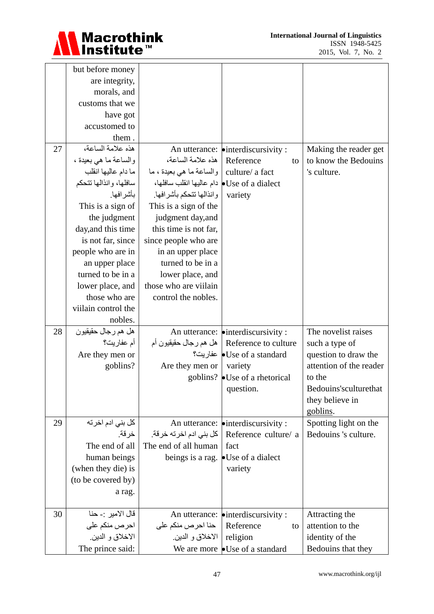

|    | but before money       |                                              |                                             |                         |
|----|------------------------|----------------------------------------------|---------------------------------------------|-------------------------|
|    | are integrity,         |                                              |                                             |                         |
|    | morals, and            |                                              |                                             |                         |
|    | customs that we        |                                              |                                             |                         |
|    | have got               |                                              |                                             |                         |
|    | accustomed to          |                                              |                                             |                         |
|    | them.                  |                                              |                                             |                         |
| 27 | هذه علامة الساعة،      |                                              | An utterance: <i>i</i> nterdiscursivity:    | Making the reader get   |
|    | والساعة ما هي بعيدة ،  | هذه علامة الساعة،                            | Reference<br>to                             | to know the Bedouins    |
|    | ما دام عاليها انقلب    | والساعة ما هي بعيدة ، ما                     | culture/ a fact                             | 's culture.             |
|    | سافلها، وانذالها تتحكم | Use of a dialectو ا دام عاليها انقلب سافلها، |                                             |                         |
|    | بأشر افها              | وانذالها تتحكم بأشرافها                      | variety                                     |                         |
|    | This is a sign of      | This is a sign of the                        |                                             |                         |
|    | the judgment           | judgment day, and                            |                                             |                         |
|    | day, and this time     | this time is not far,                        |                                             |                         |
|    | is not far, since      | since people who are                         |                                             |                         |
|    | people who are in      | in an upper place                            |                                             |                         |
|    | an upper place         | turned to be in a                            |                                             |                         |
|    | turned to be in a      | lower place, and                             |                                             |                         |
|    | lower place, and       | those who are viilain                        |                                             |                         |
|    | those who are          | control the nobles.                          |                                             |                         |
|    | viilain control the    |                                              |                                             |                         |
|    | nobles.                |                                              |                                             |                         |
| 28 | هل هم رجال حقيقيون     |                                              | An utterance: • interdiscursivity :         | The novelist raises     |
|    | أم عفاريت؟             | هل هم رجال حقيقيون أم                        | Reference to culture                        | such a type of          |
|    | Are they men or        |                                              | Use of a standard» عفاريت؟                  | question to draw the    |
|    | goblins?               | Are they men or                              | variety                                     | attention of the reader |
|    |                        |                                              | goblins? • Use of a rhetorical              | to the                  |
|    |                        |                                              | question.                                   | Bedouins'sculturethat   |
|    |                        |                                              |                                             | they believe in         |
|    |                        |                                              |                                             | goblins.                |
| 29 | كل بني ادم اخرته       |                                              | An utterance: • interdiscursivity:          | Spotting light on the   |
|    | خرقة                   | كل بنى ادم اخرته خرقة.                       | Reference culture/ a                        | Bedouins 's culture.    |
|    | The end of all         | The end of all human                         | fact                                        |                         |
|    | human beings           |                                              | beings is a rag. $\bullet$ Use of a dialect |                         |
|    | (when they die) is     |                                              | variety                                     |                         |
|    | (to be covered by)     |                                              |                                             |                         |
|    | a rag.                 |                                              |                                             |                         |
|    |                        |                                              |                                             |                         |
| 30 | قال الامير :- حنا      |                                              | An utterance: <i>i</i> nterdiscursivity:    | Attracting the          |
|    | احرص منكم على          | حنا احرص منكم على                            | Reference<br>to                             | attention to the        |
|    | الاخلاق و الدين        | religion   الاخلاق و الدين                   |                                             | identity of the         |
|    | The prince said:       |                                              | We are more $\bullet$ Use of a standard     | Bedouins that they      |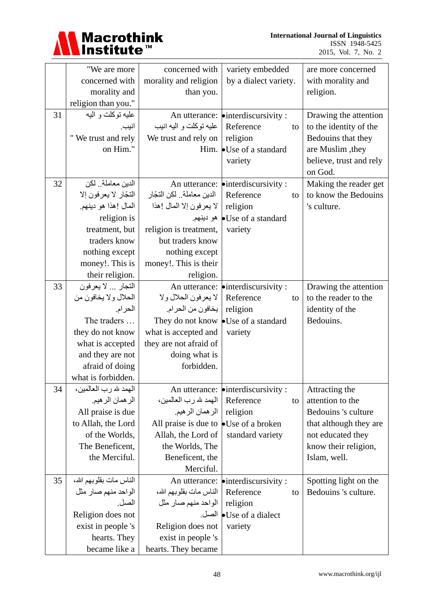

|    | "We are more             | concerned with                                 | variety embedded                            | are more concerned      |
|----|--------------------------|------------------------------------------------|---------------------------------------------|-------------------------|
|    | concerned with           | morality and religion                          | by a dialect variety.                       | with morality and       |
|    | morality and             | than you.                                      |                                             | religion.               |
|    | religion than you."      |                                                |                                             |                         |
| 31 | عليه توكلت و اليه        |                                                | An utterance: • interdiscursivity:          | Drawing the attention   |
|    | انڀب.                    | عليه توكلت و اليه انيب                         | Reference<br>to                             | to the identity of the  |
|    | " We trust and rely      | We trust and rely on                           | religion                                    | Bedouins that they      |
|    | on Him."                 |                                                | Him. Use of a standard                      | are Muslim, they        |
|    |                          |                                                | variety                                     | believe, trust and rely |
|    |                          |                                                |                                             | on God.                 |
| 32 | الدين معاملة لكن         |                                                | An utterance: • interdiscursivity :         | Making the reader get   |
|    | النجّار لا يعرفون إلا    | الدين معاملة . لكن التجّار                     | Reference<br>to                             | to know the Bedouins    |
|    | المال إهذا هو دينهم.     | religion   لا يعرفون إلا المال !هذا            |                                             | 's culture.             |
|    | religion is              |                                                | Use of a standard هو دينهم.                 |                         |
|    | treatment, but           | religion is treatment,                         | variety                                     |                         |
|    | traders know             | but traders know                               |                                             |                         |
|    | nothing except           | nothing except                                 |                                             |                         |
|    | money!. This is          | money!. This is their                          |                                             |                         |
|    | their religion.          | religion.                                      |                                             |                         |
| 33 | التجار  لا يعرفون        |                                                | An utterance: • interdiscursivity:          | Drawing the attention   |
|    | الحلال ولا يخافون من     | Reference   لا يعرفون الحلال ولا               | to                                          | to the reader to the    |
|    | الحرام.                  | religion   يخافون من الحرام.                   |                                             | identity of the         |
|    | The traders              |                                                | They do not know <b>•</b> Use of a standard | Bedouins.               |
|    | they do not know         | what is accepted and                           | variety                                     |                         |
|    | what is accepted         | they are not afraid of                         |                                             |                         |
|    | and they are not         | doing what is                                  |                                             |                         |
|    | afraid of doing          | forbidden.                                     |                                             |                         |
|    | what is forbidden.       |                                                |                                             |                         |
| 34 | المهمد لله رب العالمين،  |                                                | An utterance: interdiscursivity:            | Attracting the          |
|    | الر همان الر هيم.        | Reference   المهد لله رب العالمين،             | to                                          | attention to the        |
|    | All praise is due        | religion   الر همان الر هيم                    |                                             | Bedouins 's culture     |
|    | to Allah, the Lord       | All praise is due to $\bullet$ Use of a broken |                                             | that although they are  |
|    | of the Worlds,           | Allah, the Lord of                             | standard variety                            | not educated they       |
|    | The Beneficent,          | the Worlds, The                                |                                             | know their religion,    |
|    | the Merciful.            | Beneficent, the                                |                                             | Islam, well.            |
|    |                          | Merciful.                                      |                                             |                         |
| 35 | الناس مات بقلوبـهم الله، |                                                | An utterance: <i>i</i> nterdiscursivity:    | Spotting light on the   |
|    | الواحد منهم صار مثل      | الناس مات بقلوبهم الله،                        | Reference<br>to                             | Bedouins 's culture.    |
|    | الصل                     | religion   الواحد منهم صار مثل                 |                                             |                         |
|    | Religion does not        |                                                | Use of a dialect                            |                         |
|    | exist in people 's       | Religion does not                              | variety                                     |                         |
|    | hearts. They             | exist in people 's                             |                                             |                         |
|    | became like a            | hearts. They became                            |                                             |                         |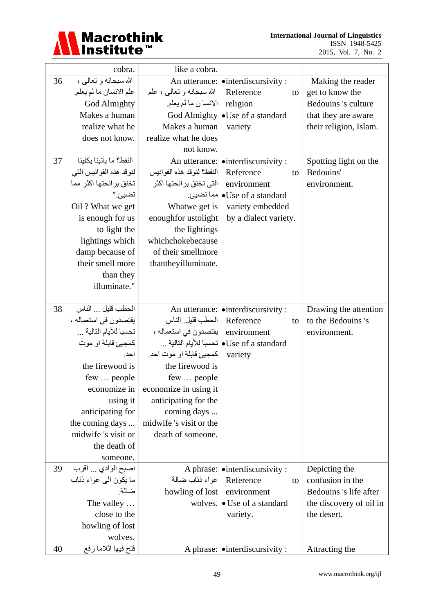

|    | cobra.                  | like a cobra.                        |                                           |                         |
|----|-------------------------|--------------------------------------|-------------------------------------------|-------------------------|
| 36 | الله سبحانه و تعالمي ،  |                                      | An utterance: • interdiscursivity :       | Making the reader       |
|    | علم الانسان ما لم يعلم  | الله سبحانـه و تـعالـي ، علم         | Reference<br>to                           | get to know the         |
|    | God Almighty            | religion   الانسان ما لم يعلم        |                                           | Bedouins 's culture     |
|    | Makes a human           |                                      | God Almighty Use of a standard            | that they are aware     |
|    | realize what he         | Makes a human                        | variety                                   | their religion, Islam.  |
|    | does not know.          | realize what he does                 |                                           |                         |
|    |                         | not know.                            |                                           |                         |
| 37 | النفط؟ ما يأتينا يكفينا |                                      | An utterance: <i>v</i> interdiscursivity: | Spotting light on the   |
|    | لنوقد هذه الفوانيس التي | النفط؟ لنوقد هذه الفوانيس            | Reference<br>to                           | Bedouins'               |
|    | تخنق بر ائحتها اكثر مما | التي تخنق بر ائحتها اكثر             | environment                               | environment.            |
|    | تضيئ "                  |                                      | Use of a standard»   مما تضيئ             |                         |
|    | Oil? What we get        | Whatwe get is                        | variety embedded                          |                         |
|    | is enough for us        | enoughfor ustolight                  | by a dialect variety.                     |                         |
|    | to light the            | the lightings                        |                                           |                         |
|    | lightings which         | whichchokebecause                    |                                           |                         |
|    | damp because of         | of their smellmore                   |                                           |                         |
|    | their smell more        | thantheyilluminate.                  |                                           |                         |
|    | than they               |                                      |                                           |                         |
|    | illuminate."            |                                      |                                           |                         |
|    |                         |                                      |                                           |                         |
| 38 | الحطب قليل  الناس       |                                      | An utterance: <i>i</i> nterdiscursivity:  | Drawing the attention   |
|    | يقتصدون في استعماله ،   | Reference   الحطب قليل الناس         | to                                        | to the Bedouins 's      |
|    | تحسبا للأيام التالية    | environment   يقتصدون في استعماله ،  |                                           | environment.            |
|    | كمجيئ قابلة او موت      |                                      | Use of a standard تحسبا للأيام التالية    |                         |
|    | احدر                    | كمجيئ قابلة او موت احد ِ             | variety                                   |                         |
|    | the firewood is         | the firewood is                      |                                           |                         |
|    | few  people             | few  people                          |                                           |                         |
|    |                         | economize in   economize in using it |                                           |                         |
|    | using it                | anticipating for the                 |                                           |                         |
|    | anticipating for        | coming days                          |                                           |                         |
|    | the coming days         | midwife 's visit or the              |                                           |                         |
|    | midwife 's visit or     | death of someone.                    |                                           |                         |
|    | the death of            |                                      |                                           |                         |
|    | someone.                |                                      |                                           |                         |
| 39 | اصبح الوادي  اقرب       |                                      | A phrase: • interdiscursivity :           | Depicting the           |
|    | ما يكون الى عواء ذئاب   | عواء ذئاب ضالة                       | Reference<br>to                           | confusion in the        |
|    | ضالة                    | howling of lost                      | environment                               | Bedouins 's life after  |
|    | The valley              |                                      | wolves. $\bullet$ Use of a standard       | the discovery of oil in |
|    | close to the            |                                      | variety.                                  | the desert.             |
|    | howling of lost         |                                      |                                           |                         |
|    | wolves.                 |                                      |                                           |                         |
| 40 | فتح فيها اثلاما رفع     |                                      | A phrase: • interdiscursivity:            | Attracting the          |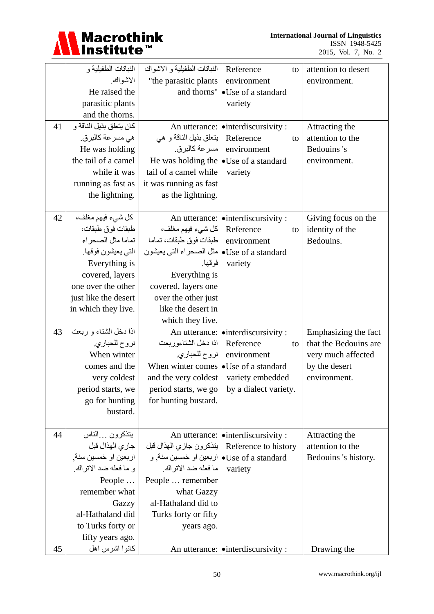

|    | النباتات الطفيلية و              | النباتات الطفيلية و الاشواك                    | Reference<br>to                                    | attention to desert   |
|----|----------------------------------|------------------------------------------------|----------------------------------------------------|-----------------------|
|    | الاشواك                          | "the parasitic plants"                         | environment                                        | environment.          |
|    | He raised the                    |                                                | and thorns" Use of a standard                      |                       |
|    | parasitic plants                 |                                                | variety                                            |                       |
|    | and the thorns.                  |                                                |                                                    |                       |
| 41 | كان يتعلق بذيل الناقة و          |                                                | An utterance: • interdiscursivity :                | Attracting the        |
|    | هي مسر عة كالبرق.                | Reference   يتعلق بذيل الناقة و هي             | to                                                 | attention to the      |
|    | He was holding                   |                                                | environment   مسرعة كالبرق.                        | Bedouins 's           |
|    | the tail of a camel              | He was holding the $\bullet$ Use of a standard |                                                    | environment.          |
|    | while it was                     | tail of a camel while                          | variety                                            |                       |
|    | running as fast as               | it was running as fast                         |                                                    |                       |
|    | the lightning.                   | as the lightning.                              |                                                    |                       |
|    |                                  |                                                |                                                    |                       |
| 42 | كل شيء فيهم مغلف،                |                                                | An utterance: • interdiscursivity :                | Giving focus on the   |
|    | طبقات فوق طبقات،                 | Reference   كل شيء فيهم مغلف،                  | to                                                 | identity of the       |
|    | تماما مثل الصحراء                | طبقات فوق طبقات، تماما                         | environment                                        | Bedouins.             |
|    | التي يعيشون فوقها                | Use of a standardو مثل الصحراء التي يعيشون     |                                                    |                       |
|    | Everything is                    | فوقها.                                         | variety                                            |                       |
|    | covered, layers                  | Everything is                                  |                                                    |                       |
|    | one over the other               | covered, layers one                            |                                                    |                       |
|    | just like the desert             | over the other just                            |                                                    |                       |
|    | in which they live.              | like the desert in                             |                                                    |                       |
|    |                                  | which they live.                               |                                                    |                       |
| 43 | اذا دخل الشتاء و ربعت            |                                                | An utterance: • interdiscursivity :                | Emphasizing the fact  |
|    | نروح للحباري.                    | اذا دخل الشتاءوربعت                            | Reference<br>to                                    | that the Bedouins are |
|    | When winter                      |                                                | environment   نروح للحباري                         | very much affected    |
|    | comes and the                    | When winter comes $\bullet$ Use of a standard  |                                                    | by the desert         |
|    | very coldest                     | and the very coldest variety embedded          |                                                    | environment.          |
|    | period starts, we                |                                                | period starts, we go $\vert$ by a dialect variety. |                       |
|    | go for hunting                   | for hunting bustard.                           |                                                    |                       |
|    | bustard.                         |                                                |                                                    |                       |
|    |                                  |                                                |                                                    |                       |
| 44 | يتذكرون وبالناس                  |                                                | An utterance: • interdiscursivity:                 | Attracting the        |
|    | جاز ي الـهذال قبل                |                                                | Reference to history   يتذكرون جازي الهذال قبل     | attention to the      |
|    | اربعين او خمسين سنة <sub>,</sub> | Use of a standardو اربعين او خمسين سنة ٍ و     |                                                    | Bedouins 's history.  |
|    | و ما فعله ضد الاتر اك            | ما فعله ضد الاتر اك                            | variety                                            |                       |
|    | People                           | People  remember                               |                                                    |                       |
|    | remember what                    | what Gazzy                                     |                                                    |                       |
|    | Gazzy                            | al-Hathaland did to                            |                                                    |                       |
|    | al-Hathaland did                 | Turks forty or fifty                           |                                                    |                       |
|    | to Turks forty or                | years ago.                                     |                                                    |                       |
|    | fifty years ago.                 |                                                |                                                    |                       |
| 45 | كانوا اشرس اهل                   |                                                | An utterance: • interdiscursivity:                 | Drawing the           |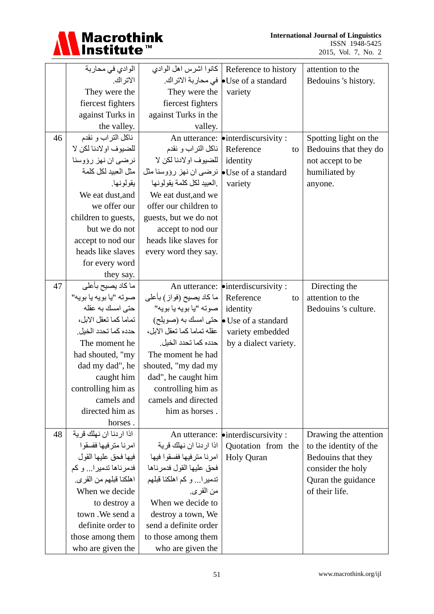

|    | الوادي في محاربة        |                                            | Reference to history   كانوا اشرس اهل الوادي | attention to the       |
|----|-------------------------|--------------------------------------------|----------------------------------------------|------------------------|
|    | الاتر اك                |                                            | Use of a standardو في محاربة الاتراك.        | Bedouins 's history.   |
|    | They were the           | They were the                              | variety                                      |                        |
|    | fiercest fighters       | fiercest fighters                          |                                              |                        |
|    | against Turks in        | against Turks in the                       |                                              |                        |
|    | the valley.             | valley.                                    |                                              |                        |
| 46 | ناكل التراب و نقدم      |                                            | An utterance: • interdiscursivity:           | Spotting light on the  |
|    | للضيوف او لادنا لكن لا  | ناكل التراب و نقدم                         | Reference<br>to                              | Bedouins that they do  |
|    | نرضى ان نهز رؤوسنا      | identity   للضيوف اولادنا لكن لا           |                                              | not accept to be       |
|    | مثل العبيد لكل كلمة     | Use of a standardو الرضي ان نهز رؤوسنا مثل |                                              | humiliated by          |
|    | يقولونها.               | العبيد لكل كلمة يقولونها                   | variety                                      | anyone.                |
|    | We eat dust, and        | We eat dust, and we                        |                                              |                        |
|    | we offer our            | offer our children to                      |                                              |                        |
|    | children to guests,     | guests, but we do not                      |                                              |                        |
|    | but we do not           | accept to nod our                          |                                              |                        |
|    | accept to nod our       | heads like slaves for                      |                                              |                        |
|    | heads like slaves       | every word they say.                       |                                              |                        |
|    | for every word          |                                            |                                              |                        |
|    | they say.               |                                            |                                              |                        |
| 47 | ما كاد يصيح بأعلى       |                                            | An utterance: • interdiscursivity:           | Directing the          |
|    | صوته "يا بويه يا بويه"  | ما كاد يصيح (فواز) بأعلى                   | Reference<br>to                              | attention to the       |
|    | حتی امسك به عقله        | صوته "يا بويه يا بويه"                     | identity                                     | Bedouins 's culture.   |
|    | تماما كما تعقل الابل،   | Use of a standard   حتى امسك به (صويلح)    |                                              |                        |
|    | حدده كما تحدد الخيل     | عقله تماما كما تعقل الابل،                 | variety embedded                             |                        |
|    | The moment he           | حدده كما تحدد الخيل.                       | by a dialect variety.                        |                        |
|    | had shouted, "my        | The moment he had                          |                                              |                        |
|    | dad my dad", he         | shouted, "my dad my                        |                                              |                        |
|    | caught him              | dad", he caught him                        |                                              |                        |
|    | controlling him as      | controlling him as                         |                                              |                        |
|    | camels and              | camels and directed                        |                                              |                        |
|    | directed him as         | him as horses.                             |                                              |                        |
|    | horses.                 |                                            |                                              |                        |
| 48 | اذا ار دنا ان نهلك قرية |                                            | An utterance: <i>vinterdiscursivity</i> :    | Drawing the attention  |
|    | امرنا مترفيها ففسقوا    | اذا اردنا ان نهلك قرية                     | Quotation from the                           | to the identity of the |
|    | فيها فحق عليها القول    | امرنا مترفيها ففسقوا فيها                  | <b>Holy Quran</b>                            | Bedouins that they     |
|    | فدمرناها تدمیرا و کم    | فحق عليها القول فدمرناها                   |                                              | consider the holy      |
|    | اهلكنا قبلهم من القرى   | تدمیرا و کم اهلکنا قبلهم                   |                                              | Quran the guidance     |
|    | When we decide          | من القر ي.                                 |                                              | of their life.         |
|    | to destroy a            | When we decide to                          |                                              |                        |
|    | town . We send a        | destroy a town, We                         |                                              |                        |
|    | definite order to       | send a definite order                      |                                              |                        |
|    | those among them        | to those among them                        |                                              |                        |
|    | who are given the       | who are given the                          |                                              |                        |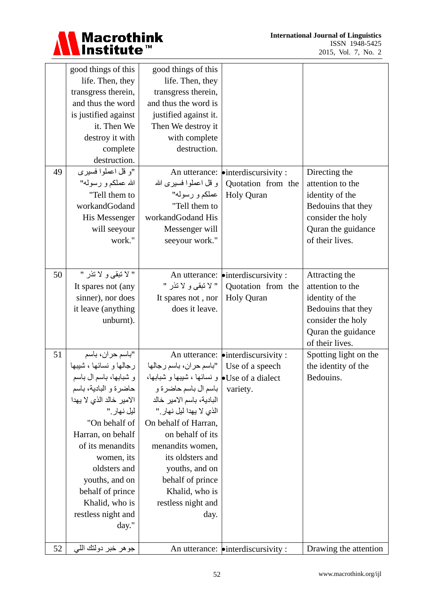

|    | good things of this            | good things of this                        |                                          |                       |
|----|--------------------------------|--------------------------------------------|------------------------------------------|-----------------------|
|    | life. Then, they               | life. Then, they                           |                                          |                       |
|    | transgress therein,            | transgress therein,                        |                                          |                       |
|    | and thus the word              | and thus the word is                       |                                          |                       |
|    | is justified against           | justified against it.                      |                                          |                       |
|    | it. Then We                    | Then We destroy it                         |                                          |                       |
|    | destroy it with                | with complete                              |                                          |                       |
|    | complete                       | destruction.                               |                                          |                       |
|    | destruction.                   |                                            |                                          |                       |
| 49 | "و قل اعملوا فسيرى             |                                            | An utterance: <i>i</i> nterdiscursivity: | Directing the         |
|    | الله عملكم و رسوله"            | و قل اعملوا فسیری الله                     | Quotation from the                       | attention to the      |
|    | "Tell them to                  | عملكم و رسوله"                             | Holy Quran                               | identity of the       |
|    | workandGodand                  | "Tell them to                              |                                          | Bedouins that they    |
|    | His Messenger                  | workandGodand His                          |                                          | consider the holy     |
|    | will seeyour                   | Messenger will                             |                                          | Quran the guidance    |
|    | work."                         | seeyour work."                             |                                          | of their lives.       |
|    |                                |                                            |                                          |                       |
|    |                                |                                            |                                          |                       |
| 50 | " لا تبقى و لا تذر "           |                                            | An utterance: • interdiscursivity :      | Attracting the        |
|    | It spares not (any             | " لا تبقى و لا تذر "                       | Quotation from the                       | attention to the      |
|    | sinner), nor does              | It spares not, nor                         | <b>Holy Quran</b>                        | identity of the       |
|    | it leave (anything             | does it leave.                             |                                          | Bedouins that they    |
|    | unburnt).                      |                                            |                                          | consider the holy     |
|    |                                |                                            |                                          | Quran the guidance    |
|    |                                |                                            |                                          | of their lives.       |
| 51 | "باسم حران، باسم               |                                            | An utterance: • interdiscursivity :      | Spotting light on the |
|    | رجالها و نسائها ، شبیها        | Use of a speech   "باسم حران، باسم رجالها  |                                          | the identity of the   |
|    | ر<br>و شدابـها، بـاسم ال بـاسم | Use of a dialectو نسائها ، شيبها و شبابها، |                                          | Bedouins.             |
|    | حاضرة و البادية، باسم          | variety.   باسم ال باسم حاضرة و            |                                          |                       |
|    | الامير خالد الذي لا يهدا       | البادية، باسم الامير خالد                  |                                          |                       |
|    | ليل نهار ."                    | الذي لا يهدا ليل نهار ."                   |                                          |                       |
|    | "On behalf of                  | On behalf of Harran,                       |                                          |                       |
|    | Harran, on behalf              | on behalf of its                           |                                          |                       |
|    | of its menandits               | menandits women,                           |                                          |                       |
|    | women, its                     | its oldsters and                           |                                          |                       |
|    | oldsters and                   | youths, and on                             |                                          |                       |
|    | youths, and on                 | behalf of prince                           |                                          |                       |
|    | behalf of prince               | Khalid, who is                             |                                          |                       |
|    | Khalid, who is                 | restless night and                         |                                          |                       |
|    | restless night and             | day.                                       |                                          |                       |
|    | day."                          |                                            |                                          |                       |
|    |                                |                                            |                                          |                       |
| 52 | جو هر خبر دولتك اللي           |                                            | An utterance: • interdiscursivity:       | Drawing the attention |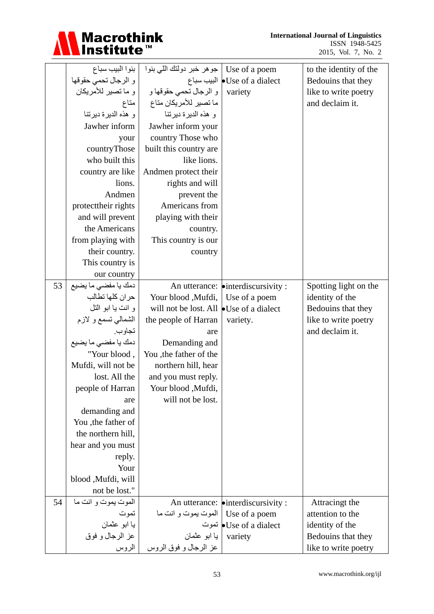

|    | بنوا البيب سباع      | Use of a poem   جو هر خبر دولتك اللي بنوا       |                                            | to the identity of the |
|----|----------------------|-------------------------------------------------|--------------------------------------------|------------------------|
|    | و الرجال تحمي حقوقها |                                                 | Use of a dialect                           | Bedouins that they     |
|    |                      | و الرجال تُحمي حقوقها و     و ما تصير للأمريكان | variety                                    | like to write poetry   |
|    |                      | ما تصير للأمريكان متاع        متاع              |                                            | and declaim it.        |
|    | و هذه الديرة ديرتنا  | و هذه الديرة ديرتنا                             |                                            |                        |
|    | Jawher inform        | Jawher inform your                              |                                            |                        |
|    | your                 | country Those who                               |                                            |                        |
|    | countryThose         | built this country are                          |                                            |                        |
|    | who built this       | like lions.                                     |                                            |                        |
|    | country are like     | Andmen protect their                            |                                            |                        |
|    | lions.               | rights and will                                 |                                            |                        |
|    | Andmen               | prevent the                                     |                                            |                        |
|    | protecttheir rights  | Americans from                                  |                                            |                        |
|    | and will prevent     | playing with their                              |                                            |                        |
|    | the Americans        | country.                                        |                                            |                        |
|    | from playing with    | This country is our                             |                                            |                        |
|    | their country.       | country                                         |                                            |                        |
|    | This country is      |                                                 |                                            |                        |
|    | our country          |                                                 |                                            |                        |
| 53 | دمك يا مفضىي ما يضيع |                                                 | An utterance: <i>v</i> interdiscursivity : | Spotting light on the  |
|    | حران كلها تطالب      | Your blood , Mufdi, Use of a poem               |                                            | identity of the        |
|    | و انت يا ابو التل    | will not be lost. All <b>.</b> Use of a dialect |                                            | Bedouins that they     |
|    | الشمالي تسمع و لازم  | the people of Harran                            | variety.                                   | like to write poetry   |
|    | تجاوب.               | are                                             |                                            | and declaim it.        |
|    | دمك يا مفضىي ما يضيع | Demanding and                                   |                                            |                        |
|    | "Your blood,         | You , the father of the                         |                                            |                        |
|    | Mufdi, will not be   | northern hill, hear                             |                                            |                        |
|    | lost. All the        | and you must reply.                             |                                            |                        |
|    | people of Harran     | Your blood , Mufdi,                             |                                            |                        |
|    | are                  | will not be lost.                               |                                            |                        |
|    | demanding and        |                                                 |                                            |                        |
|    | You , the father of  |                                                 |                                            |                        |
|    | the northern hill,   |                                                 |                                            |                        |
|    | hear and you must    |                                                 |                                            |                        |
|    | reply.               |                                                 |                                            |                        |
|    | Your                 |                                                 |                                            |                        |
|    | blood , Mufdi, will  |                                                 |                                            |                        |
|    | not be lost."        |                                                 |                                            |                        |
| 54 | الموت يموت و انت ما  |                                                 | An utterance: • interdiscursivity :        | Attracingt the         |
|    | تموت                 | Use of a poem   الموت يموت و انت ما             |                                            | attention to the       |
|    | يا ابو عثمان         |                                                 | Use of a dialect» قموت                     | identity of the        |
|    | عز الرجال و فوق      | variety   يا ابو عثمان                          |                                            | Bedouins that they     |
|    | الروس                | عز الرجال و فوق الروس                           |                                            | like to write poetry   |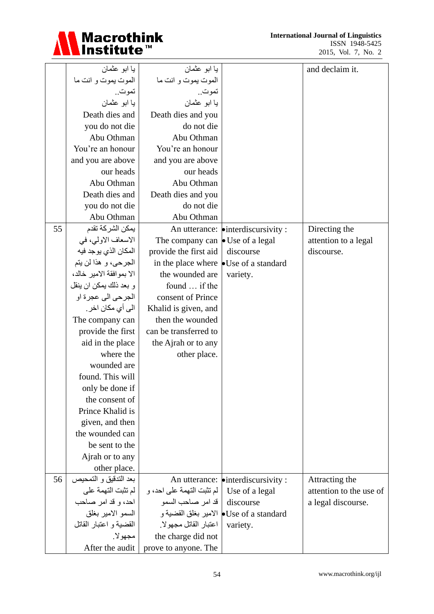

|    | يا ابو عثمان             | يا ابو عثمان                                   |                                     | and declaim it.         |
|----|--------------------------|------------------------------------------------|-------------------------------------|-------------------------|
|    | الموت بموت و انت ما      | الموت يموت و انت ما                            |                                     |                         |
|    | تموت ِ                   | تموت ِ                                         |                                     |                         |
|    | يا ابو عثمان             | يا ابو عثمان                                   |                                     |                         |
|    | Death dies and           | Death dies and you                             |                                     |                         |
|    | you do not die           | do not die                                     |                                     |                         |
|    | Abu Othman               | Abu Othman                                     |                                     |                         |
|    | You're an honour         | You're an honour                               |                                     |                         |
|    | and you are above        | and you are above                              |                                     |                         |
|    | our heads                | our heads                                      |                                     |                         |
|    | Abu Othman               | Abu Othman                                     |                                     |                         |
|    | Death dies and           | Death dies and you                             |                                     |                         |
|    | you do not die           | do not die                                     |                                     |                         |
|    | Abu Othman               | Abu Othman                                     |                                     |                         |
| 55 | يمكن الشركة تقدم         |                                                | An utterance: • interdiscursivity : | Directing the           |
|    | الاسعاف الاولى، في       | The company can $\bullet$ Use of a legal       |                                     | attention to a legal    |
|    | المكان الذي يوجد فيه     | provide the first aid                          | discourse                           | discourse.              |
|    | الجرحي، و هذا لن يتم     | in the place where $\bullet$ Use of a standard |                                     |                         |
|    | الا بموافقة الامير خالد، | the wounded are                                | variety.                            |                         |
|    | و بعد ذلك يمكن ان ينقل   | found  if the                                  |                                     |                         |
|    | الجرحي الى عجرة او       | consent of Prince                              |                                     |                         |
|    | الى أي مكان اخر .        | Khalid is given, and                           |                                     |                         |
|    | The company can          | then the wounded                               |                                     |                         |
|    | provide the first        | can be transferred to                          |                                     |                         |
|    | aid in the place         | the Ajrah or to any                            |                                     |                         |
|    | where the                | other place.                                   |                                     |                         |
|    | wounded are              |                                                |                                     |                         |
|    | found. This will         |                                                |                                     |                         |
|    | only be done if          |                                                |                                     |                         |
|    | the consent of           |                                                |                                     |                         |
|    | Prince Khalid is         |                                                |                                     |                         |
|    | given, and then          |                                                |                                     |                         |
|    | the wounded can          |                                                |                                     |                         |
|    | be sent to the           |                                                |                                     |                         |
|    | Ajrah or to any          |                                                |                                     |                         |
|    | other place.             |                                                |                                     |                         |
| 56 | بعد التدقيق و التمحيص    |                                                | An utterance: • interdiscursivity:  | Attracting the          |
|    | لم تثبت التهمة على       | لم تثبت التهمة على احد، و                      | Use of a legal                      | attention to the use of |
|    | احد، و قد امر صاحب       | قد امر صاحب السمو                              | discourse                           | a legal discourse.      |
|    | السمو الامير بغلق        | Use of a standardا الامير بغلق القضية و        |                                     |                         |
|    | القضية و اعتبار القاتل   | اعتبار القاتل مجهولا                           | variety.                            |                         |
|    | مجهولا.                  | the charge did not                             |                                     |                         |
|    | After the audit          | prove to anyone. The                           |                                     |                         |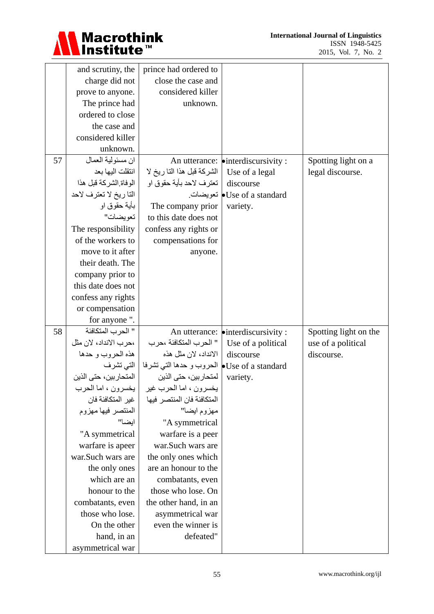

|    | and scrutiny, the      | prince had ordered to                                  |                                           |                       |
|----|------------------------|--------------------------------------------------------|-------------------------------------------|-----------------------|
|    | charge did not         | close the case and                                     |                                           |                       |
|    | prove to anyone.       | considered killer                                      |                                           |                       |
|    | The prince had         | unknown.                                               |                                           |                       |
|    | ordered to close       |                                                        |                                           |                       |
|    | the case and           |                                                        |                                           |                       |
|    | considered killer      |                                                        |                                           |                       |
|    | unknown.               |                                                        |                                           |                       |
| 57 | ان مسئولية العمال      |                                                        | An utterance: <i>v</i> interdiscursivity: | Spotting light on a   |
|    | انتقلت اليها بعد       | Use of a legal   الشركة قبل هذا التا ريخ لا            |                                           | legal discourse.      |
|    | الوفاة الشركة قبل هذا  | تعترف لاحد بأية حقوق او                                | discourse                                 |                       |
|    | التا ريخ لا تعترف لاحد |                                                        | Use of a standardفويضات.                  |                       |
|    | بأية حقوق او           | The company prior                                      | variety.                                  |                       |
|    | تعويضات"               | to this date does not                                  |                                           |                       |
|    | The responsibility     | confess any rights or                                  |                                           |                       |
|    | of the workers to      | compensations for                                      |                                           |                       |
|    | move to it after       | anyone.                                                |                                           |                       |
|    | their death. The       |                                                        |                                           |                       |
|    | company prior to       |                                                        |                                           |                       |
|    | this date does not     |                                                        |                                           |                       |
|    | confess any rights     |                                                        |                                           |                       |
|    | or compensation        |                                                        |                                           |                       |
|    | for anyone ".          |                                                        |                                           |                       |
| 58 | " الحرب المتكافئة      |                                                        | An utterance: <i>v</i> interdiscursivity: | Spotting light on the |
|    | ،حرب الانداد، لان مثل  | Use of a political   " الحرب المتكافئة ،حرب            |                                           | use of a political    |
|    | هذه الحروب وحدها       | الانداد، لان مثل هذه                                   | discourse                                 | discourse.            |
|    |                        | Use of a standardأ√لحروب و حدها التي تشرفا   التي تشرف |                                           |                       |
|    | المتحار بين، حتى الذين | لمتحار بين، حتى الذين                                  | variety.                                  |                       |
|    | يخسرون ، اما الحرب     | يخسرون ، اما الحرب غير                                 |                                           |                       |
|    | غير المتكافئة فان      | المتكافئة فان المنتصر فيها                             |                                           |                       |
|    | المنتصر فيها مهزوم     | مهزوم ايضا"                                            |                                           |                       |
|    | ابضا"                  | "A symmetrical                                         |                                           |                       |
|    | "A symmetrical         | warfare is a peer                                      |                                           |                       |
|    | warfare is apeer       | war.Such wars are                                      |                                           |                       |
|    | war.Such wars are      | the only ones which                                    |                                           |                       |
|    | the only ones          | are an honour to the                                   |                                           |                       |
|    | which are an           | combatants, even                                       |                                           |                       |
|    | honour to the          | those who lose. On                                     |                                           |                       |
|    | combatants, even       | the other hand, in an                                  |                                           |                       |
|    | those who lose.        | asymmetrical war                                       |                                           |                       |
|    |                        |                                                        |                                           |                       |
|    | On the other           | even the winner is                                     |                                           |                       |
|    | hand, in an            | defeated"                                              |                                           |                       |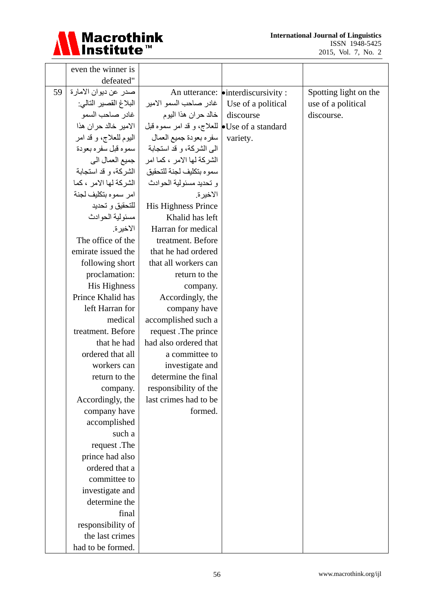

 $\overline{\phantom{a}}$ 

|    | even the winner is     |                                                             |                                           |                       |
|----|------------------------|-------------------------------------------------------------|-------------------------------------------|-----------------------|
|    | defeated"              |                                                             |                                           |                       |
| 59 | صدر عن ديوان الامارة   |                                                             | An utterance: <i>v</i> interdiscursivity: | Spotting light on the |
|    | البلاغ القصبر التالي:  | غادر صاحب السمو الامير                                      | Use of a political                        | use of a political    |
|    | غادر صاحب السمو        | خالد حران هذا اليوم                                         | discourse                                 | discourse.            |
|    | الامير خالد حران هذا   | Use of a standardو المعلاج، و قد امر سموه قبل               |                                           |                       |
|    | اليوم للعلاج، و قد امر | سفره بعودة جميع العمال                                      | variety.                                  |                       |
|    |                        | الى الشركة، و قد استجابة       سموه قبل سفره بعودة          |                                           |                       |
|    |                        | الشركة لها الامر ، كما امر   جميع العمال الي                |                                           |                       |
|    |                        | سمو ه بِتكلِّيف لجنة للتحقيق ﴿ الشِّرِ كَة، و ۖ قد استجابـة |                                           |                       |
|    | الشركة لها الامر ، كما | و تحديد مسئولية الحوادث                                     |                                           |                       |
|    | امر سموه بتكليف لجنة   | الأخير ة                                                    |                                           |                       |
|    | للتحقيق و تحديد        | His Highness Prince                                         |                                           |                       |
|    | مسئولية الحوادث        | Khalid has left                                             |                                           |                       |
|    | الاخير ة               | Harran for medical                                          |                                           |                       |
|    | The office of the      | treatment. Before                                           |                                           |                       |
|    | emirate issued the     | that he had ordered                                         |                                           |                       |
|    | following short        | that all workers can                                        |                                           |                       |
|    | proclamation:          | return to the                                               |                                           |                       |
|    | <b>His Highness</b>    | company.                                                    |                                           |                       |
|    | Prince Khalid has      | Accordingly, the                                            |                                           |                       |
|    | left Harran for        | company have                                                |                                           |                       |
|    | medical                | accomplished such a                                         |                                           |                       |
|    | treatment. Before      | request .The prince                                         |                                           |                       |
|    | that he had            | had also ordered that                                       |                                           |                       |
|    | ordered that all       | a committee to                                              |                                           |                       |
|    | workers can            | investigate and                                             |                                           |                       |
|    | return to the          | determine the final                                         |                                           |                       |
|    | company.               | responsibility of the                                       |                                           |                       |
|    | Accordingly, the       | last crimes had to be                                       |                                           |                       |
|    | company have           | formed.                                                     |                                           |                       |
|    | accomplished           |                                                             |                                           |                       |
|    | such a                 |                                                             |                                           |                       |
|    | request .The           |                                                             |                                           |                       |
|    | prince had also        |                                                             |                                           |                       |
|    | ordered that a         |                                                             |                                           |                       |
|    | committee to           |                                                             |                                           |                       |
|    | investigate and        |                                                             |                                           |                       |
|    | determine the          |                                                             |                                           |                       |
|    | final                  |                                                             |                                           |                       |
|    | responsibility of      |                                                             |                                           |                       |
|    | the last crimes        |                                                             |                                           |                       |
|    | had to be formed.      |                                                             |                                           |                       |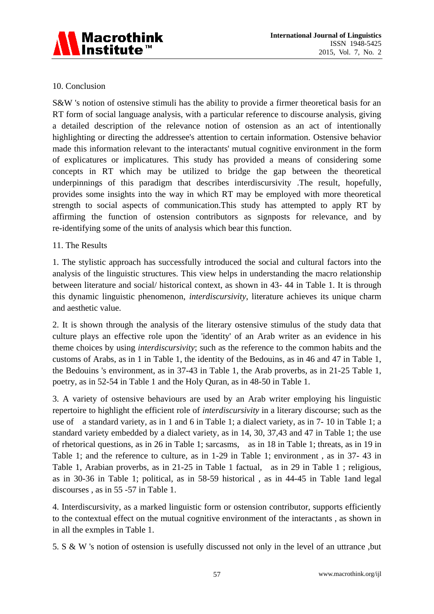

#### 10. Conclusion

S&W 's notion of ostensive stimuli has the ability to provide a firmer theoretical basis for an RT form of social language analysis, with a particular reference to discourse analysis, giving a detailed description of the relevance notion of ostension as an act of intentionally highlighting or directing the addressee's attention to certain information. Ostensive behavior made this information relevant to the interactants' mutual cognitive environment in the form of explicatures or implicatures. This study has provided a means of considering some concepts in RT which may be utilized to bridge the gap between the theoretical underpinnings of this paradigm that describes interdiscursivity .The result, hopefully, provides some insights into the way in which RT may be employed with more theoretical strength to social aspects of communication.This study has attempted to apply RT by affirming the function of ostension contributors as signposts for relevance, and by re-identifying some of the units of analysis which bear this function.

#### 11. The Results

1. The stylistic approach has successfully introduced the social and cultural factors into the analysis of the linguistic structures. This view helps in understanding the macro relationship between literature and social/ historical context, as shown in 43- 44 in Table 1. It is through this dynamic linguistic phenomenon, *interdiscursivity*, literature achieves its unique charm and aesthetic value.

2. It is shown through the analysis of the literary ostensive stimulus of the study data that culture plays an effective role upon the 'identity' of an Arab writer as an evidence in his theme choices by using *interdiscursivity*; such as the reference to the common habits and the customs of Arabs, as in 1 in Table 1, the identity of the Bedouins, as in 46 and 47 in Table 1, the Bedouins 's environment, as in 37-43 in Table 1, the Arab proverbs, as in 21-25 Table 1, poetry, as in 52-54 in Table 1 and the Holy Quran, as in 48-50 in Table 1.

3. A variety of ostensive behaviours are used by an Arab writer employing his linguistic repertoire to highlight the efficient role of *interdiscursivity* in a literary discourse; such as the use of a standard variety, as in 1 and 6 in Table 1; a dialect variety, as in 7- 10 in Table 1; a standard variety embedded by a dialect variety, as in 14, 30, 37,43 and 47 in Table 1; the use of rhetorical questions, as in 26 in Table 1; sarcasms, as in 18 in Table 1; threats, as in 19 in Table 1; and the reference to culture, as in 1-29 in Table 1; environment , as in 37- 43 in Table 1, Arabian proverbs, as in 21-25 in Table 1 factual, as in 29 in Table 1 ; religious, as in 30-36 in Table 1; political, as in 58-59 historical , as in 44-45 in Table 1and legal discourses , as in 55 -57 in Table 1.

4. Interdiscursivity, as a marked linguistic form or ostension contributor, supports efficiently to the contextual effect on the mutual cognitive environment of the interactants , as shown in in all the exmples in Table 1.

5. S & W 's notion of ostension is usefully discussed not only in the level of an uttrance ,but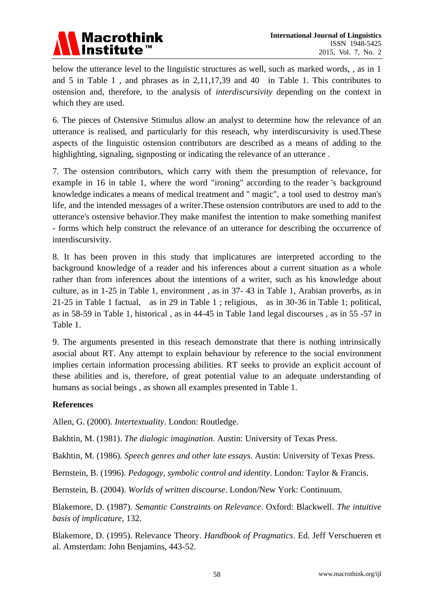

below the utterance level to the linguistic structures as well, such as marked words, , as in 1 and 5 in Table 1 , and phrases as in 2,11,17,39 and 40 in Table 1. This contributes to ostension and, therefore, to the analysis of *interdiscursivity* depending on the context in which they are used.

6. The pieces of Ostensive Stimulus allow an analyst to determine how the relevance of an utterance is realised, and particularly for this reseach, why interdiscursivity is used.These aspects of the linguistic ostension contributors are described as a means of adding to the highlighting, signaling, signposting or indicating the relevance of an utterance.

7. The ostension contributors, which carry with them the presumption of relevance, for example in 16 in table 1, where the word "ironing" according to the reader 's background knowledge indicates a means of medical treatment and " magic", a tool used to destroy man's life, and the intended messages of a writer.These ostension contributors are used to add to the utterance's ostensive behavior.They make manifest the intention to make something manifest - forms which help construct the relevance of an utterance for describing the occurrence of interdiscursivity.

8. It has been proven in this study that implicatures are interpreted according to the background knowledge of a reader and his inferences about a current situation as a whole rather than from inferences about the intentions of a writer, such as his knowledge about culture, as in 1-25 in Table 1, environment , as in 37- 43 in Table 1, Arabian proverbs, as in 21-25 in Table 1 factual, as in 29 in Table 1 ; religious, as in 30-36 in Table 1; political, as in 58-59 in Table 1, historical , as in 44-45 in Table 1and legal discourses , as in 55 -57 in Table 1.

9. The arguments presented in this reseach demonstrate that there is nothing intrinsically asocial about RT. Any attempt to explain behaviour by reference to the social environment implies certain information processing abilities. RT seeks to provide an explicit account of these abilities and is, therefore, of great potential value to an adequate understanding of humans as social beings , as shown all examples presented in Table 1.

#### **References**

Allen, G. (2000). *Intertextuality*. London: Routledge.

Bakhtin, M. (1981). *The dialogic imagination*. Austin: University of Texas Press.

Bakhtin, M. (1986). *Speech genres and other late essays*. Austin: University of Texas Press.

Bernstein, B. (1996). *Pedagogy, symbolic control and identity*. London: Taylor & Francis.

Bernstein, B. (2004). *Worlds of written discourse*. London/New York: Continuum.

Blakemore, D. (1987). *Semantic Constraints on Relevance*. Oxford: Blackwell. *The intuitive basis of implicature,* 132.

Blakemore, D. (1995). Relevance Theory. *Handbook of Pragmatics*. Ed. Jeff Verschueren et al. Amsterdam: John Benjamins, 443-52.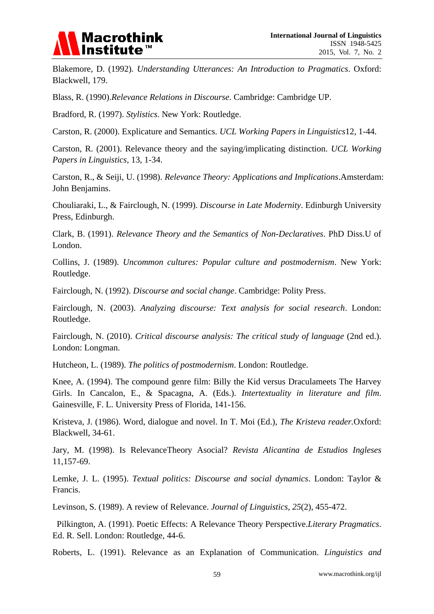

Blakemore, D. (1992)*. Understanding Utterances: An Introduction to Pragmatics*. Oxford: Blackwell, 179.

Blass, R. (1990).*Relevance Relations in Discourse*. Cambridge: Cambridge UP.

Bradford, R. (1997). *Stylistics*. New York: Routledge.

Carston, R. (2000). Explicature and Semantics. *UCL Working Papers in Linguistics*12*,* 1-44.

Carston, R. (2001). Relevance theory and the saying/implicating distinction. *UCL Working Papers in Linguistics,* 13, 1-34.

Carston, R., & Seiji, U. (1998). *Relevance Theory: Applications and Implications*.Amsterdam: John Benjamins.

Chouliaraki, L., & Fairclough, N. (1999). *Discourse in Late Modernity*. Edinburgh University Press, Edinburgh.

Clark, B. (1991). *Relevance Theory and the Semantics of Non-Declaratives*. PhD Diss.U of London.

Collins, J. (1989). *Uncommon cultures: Popular culture and postmodernism*. New York: Routledge.

Fairclough, N. (1992). *Discourse and social change*. Cambridge: Polity Press.

Fairclough, N. (2003). *Analyzing discourse: Text analysis for social research*. London: Routledge.

Fairclough, N. (2010). *Critical discourse analysis: The critical study of language* (2nd ed.). London: Longman.

Hutcheon, L. (1989). *The politics of postmodernism*. London: Routledge.

Knee, A. (1994). The compound genre film: Billy the Kid versus Draculameets The Harvey Girls. In Cancalon, E., & Spacagna, A. (Eds.). *Intertextuality in literature and film*. Gainesville, F. L. University Press of Florida, 141-156.

Kristeva, J. (1986). Word, dialogue and novel. In T. Moi (Ed.), *The Kristeva reader.*Oxford: Blackwell, 34-61.

Jary, M. (1998). Is RelevanceTheory Asocial? *Revista Alicantina de Estudios Ingleses*  11,157-69.

Lemke, J. L. (1995). *Textual politics: Discourse and social dynamics*. London: Taylor & Francis.

Levinson, S. (1989). A review of Relevance. *Journal of Linguistics, 25*(2), 455-472.

Pilkington, A. (1991). Poetic Effects: A Relevance Theory Perspective.*Literary Pragmatics*. Ed. R. Sell. London: Routledge, 44-6.

Roberts, L. (1991). Relevance as an Explanation of Communication. *Linguistics and*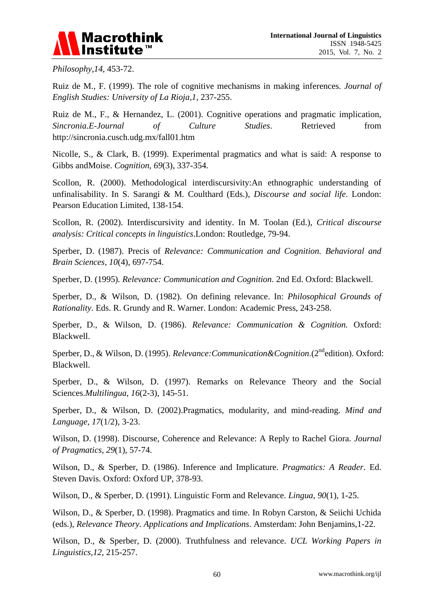

*Philosophy,14*, 453-72.

Ruiz de M., F. (1999). The role of cognitive mechanisms in making inferences. *Journal of English Studies: University of La Rioja,1*, 237-255.

Ruiz de M., F., & Hernandez, L. (2001). Cognitive operations and pragmatic implication, *Sincronia.E-Journal of Culture Studies*. Retrieved from http://sincronia.cusch.udg.mx/fall01.htm

Nicolle, S., & Clark, B. (1999). Experimental pragmatics and what is said: A response to Gibbs andMoise. *Cognition, 69*(3), 337-354.

Scollon, R. (2000). Methodological interdiscursivity:An ethnographic understanding of unfinalisability. In S. Sarangi & M. Coulthard (Eds.), *Discourse and social life*. London: Pearson Education Limited, 138-154.

Scollon, R. (2002). Interdiscursivity and identity. In M. Toolan (Ed.), *Critical discourse analysis: Critical concepts in linguistics*.London: Routledge, 79-94.

Sperber, D. (1987). Precis of *Relevance: Communication and Cognition. Behavioral and Brain Sciences, 10*(4), 697-754.

Sperber, D. (1995)*. Relevance: Communication and Cognition*. 2nd Ed. Oxford: Blackwell.

Sperber, D., & Wilson, D. (1982). On defining relevance. In: *Philosophical Grounds of Rationality*. Eds. R. Grundy and R. Warner. London: Academic Press, 243-258.

Sperber, D., & Wilson, D. (1986). *Relevance: Communication & Cognition.* Oxford: Blackwell.

Sperber, D., & Wilson, D. (1995). *Relevance: Communication & Cognition*.(2<sup>nd</sup>edition). Oxford: Blackwell.

Sperber, D., & Wilson, D. (1997). Remarks on Relevance Theory and the Social Sciences.*Multilingua, 16*(2-3), 145-51.

Sperber, D., & Wilson, D. (2002).Pragmatics, modularity, and mind-reading. *Mind and Language, 17*(1/2), 3-23.

Wilson, D. (1998). Discourse, Coherence and Relevance: A Reply to Rachel Giora. *Journal of Pragmatics, 29*(1), 57-74.

Wilson, D., & Sperber, D. (1986). Inference and Implicature. *Pragmatics: A Reader*. Ed. Steven Davis. Oxford: Oxford UP, 378-93.

Wilson, D., & Sperber, D. (1991). Linguistic Form and Relevance. *Lingua, 90*(1), 1-25.

Wilson, D., & Sperber, D. (1998). Pragmatics and time. In Robyn Carston, & Seiichi Uchida (eds.), *Relevance Theory. Applications and Implications*. Amsterdam: John Benjamins,1-22.

Wilson, D., & Sperber, D. (2000). Truthfulness and relevance. *UCL Working Papers in Linguistics,12*, 215-257.